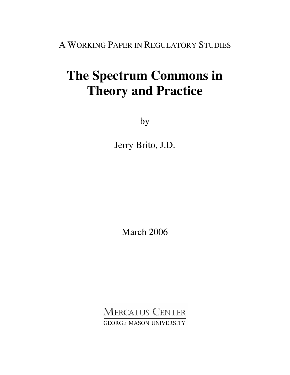A WORKING PAPER IN REGULATORY STUDIES

# **The Spectrum Commons in Theory and Practice**

by

Jerry Brito, J.D.

March 2006

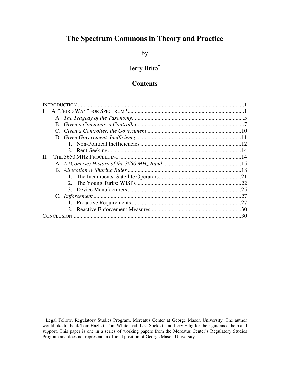# **The Spectrum Commons in Theory and Practice**

by

# Jerry Brito †

### **Contents**

| H. |       |
|----|-------|
|    |       |
|    |       |
|    |       |
|    |       |
|    |       |
|    | $-27$ |
|    |       |
|    |       |
|    |       |

<sup>†</sup> Legal Fellow, Regulatory Studies Program, Mercatus Center at George Mason University. The author would like to thank Tom Hazlett, Tom Whitehead, Lisa Sockett, and Jerry Ellig for their guidance, help and support. This paper is one in a series of working papers from the Mercatus Center's Regulatory Studies Program and does not represent an official position of George Mason University.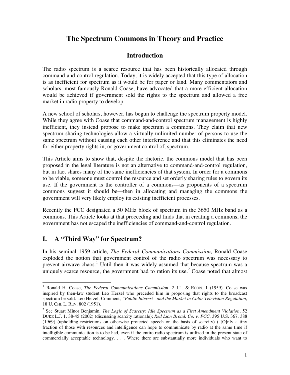# **The Spectrum Commons in Theory and Practice**

## **Introduction**

The radio spectrum is a scarce resource that has been historically allocated through command-and-control regulation. Today, it is widely accepted that this type of allocation is as inefficient for spectrum as it would be for paper or land. Many commentators and scholars, most famously Ronald Coase, have advocated that a more efficient allocation would be achieved if government sold the rights to the spectrum and allowed a free market in radio property to develop.

A new school of scholars, however, has begun to challenge the spectrum property model. While they agree with Coase that command-and-control spectrum management is highly inefficient, they instead propose to make spectrum a commons. They claim that new spectrum sharing technologies allow a virtually unlimited number of persons to use the same spectrum without causing each other interference and that this eliminates the need for either property rights in, or government control of, spectrum.

This Article aims to show that, despite the rhetoric, the commons model that has been proposed in the legal literature is not an alternative to command-and-control regulation, but in fact shares many of the same inefficiencies of that system. In order for a commons to be viable, someone must control the resource and set orderly sharing rules to govern its use. If the government is the controller of a commons—as proponents of a spectrum commons suggest it should be—then in allocating and managing the commons the government will very likely employ its existing inefficient processes.

Recently the FCC designated a 50 MHz block of spectrum in the 3650 MHz band as a commons. This Article looks at that proceeding and finds that in creating a commons, the government has not escaped the inefficiencies of command-and-control regulation.

# **I. A "Third Way" for Spectrum?**

In his seminal 1959 article, *The Federal Communications Commission*, Ronald Coase exploded the notion that government control of the radio spectrum was necessary to prevent airwave chaos.<sup>1</sup> Until then it was widely assumed that because spectrum was a uniquely scarce resource, the government had to ration its use.<sup>2</sup> Coase noted that almost

<sup>1</sup> Ronald H. Coase, *The Federal Communications Commission*, 2 J.L. & ECON. 1 (1959). Coase was inspired by then-law student Leo Herzel who preceded him in proposing that rights to the broadcast spectrum be sold. Leo Herzel, Comment, *"Public Interest" and the Market in Color Television Regulation*, 18 U. CHI. L. REV. 802 (1951).

<sup>2</sup> See Stuart Minor Benjamin, *The Logic of Scarcity: Idle Spectrum as a First Amendment Violation*, 52 DUKE L.J. 1, 38-45 (2002) (discussing scarcity rationale); *Red Lion Broad. Co. v. FCC*, 395 U.S. 367, 388 (1969) (upholding restrictions on otherwise protected speech on the basis of scarcity) ("[O]nly a tiny fraction of those with resources and intelligence can hope to communicate by radio at the same time if intelligible communication is to be had, even if the entire radio spectrum is utilized in the present state of commercially acceptable technology. . . . Where there are substantially more individuals who want to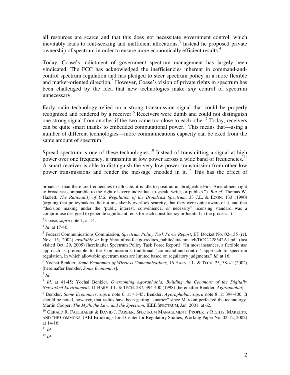all resources are scarce and that this does not necessitate government control, which inevitably leads to rent-seeking and inefficient allocations. 3 Instead he proposed private ownership of spectrum in order to ensure more economically efficient results. 4

Today, Coase's indictment of government spectrum management has largely been vindicated. The FCC has acknowledged the inefficiencies inherent in command-andcontrol spectrum regulation and has pledged to steer spectrum policy in a more flexible and market-oriented direction. <sup>5</sup> However, Coase's vision of private rights in spectrum has been challenged by the idea that new technologies make *any* control of spectrum unnecessary.

Early radio technology relied on a strong transmission signal that could be properly recognized and rendered by a receiver. <sup>6</sup> Receivers were dumb and could not distinguish one strong signal from another if the two came too close to each other.<sup>7</sup> Today, receivers can be quite smart thanks to embedded computational power. 8 This means that—using a number of different technologies—more communications capacity can be eked from the same amount of spectrum.<sup>9</sup>

Spread spectrum is one of these technologies.<sup>10</sup> Instead of transmitting a signal at high power over one frequency, it transmits at low power across a wide band of frequencies.<sup>11</sup> A smart receiver is able to distinguish the very low power transmission from other low power transmissions and render the message encoded in it.<sup>12</sup> This has the effect of

<sup>3</sup> Coase, *supra* note 1, at 14.

4 *Id*. at 17-40.

7 *Id*.

11 *Id*.

12 *Id*.

broadcast than there are frequencies to allocate, it is idle to posit an unabridgeable First Amendment right to broadcast comparable to the right of every individual to speak, write, or publish."). *But cf.* Thomas W. Hazlett, *The Rationality of U.S. Regulation of the Broadcast Spectrum*, 33 J.L. & ECON. 133 (1990) (arguing that policymakers did not mistakenly overlook scarcity, that they were quite aware of it, and that "decision making under the 'public interest, convenience, or necessity" licensing standard was a compromise designed to generate significant rents for each constituency influential in the process.")

<sup>5</sup> Federal Communications Commission, *Spectrum Policy Task Force Report*, ET Docket No. 02-135 (rel. Nov. 15, 2002) *available at* http://hraunfoss.fcc.gov/edocs\_public/attachmatch/DOC-228542A1.pdf (last visited Oct. 29, 2005) [hereinafter Spectrum Policy Task Force Report]. "In most instances, a flexible use approach is preferable to the Commission's traditional 'command-and-control' approach to spectrum regulation, in which allowable spectrum uses are limited based on regulatory judgments." *Id.* at 16.

<sup>6</sup> Yochai Benkler, *Some Economics of Wireless Communications*, 16 HARV. J.L. & TECH. 25, 38-41 (2002) [hereinafter Benkler, *Some Economics*].

<sup>8</sup> *Id*. at 41-45; Yochai Benkler, *Overcoming Agoraphobia: Building the Commons of the Digitally Networked Environment*, 11 HARV. J.L. & TECH. 287, 394-400 (1998) [hereinafter Benkler, *Agoraphobia*].

<sup>9</sup> Benkler, *Some Economics*, *supra* note 6, at 41-45; Benkler, *Agoraphobia*, *supra* note 8, at 394-400. It should be noted, however, that radios have been getting "smarter" since Marconi perfected the technology. Martin Cooper, *The Myth, the Law, and the Spectrum*, IEEE SPECTRUM, Jan. 2001, at 62.

<sup>&</sup>lt;sup>10</sup> GERALD R. FAULHABER & DAVID J. FARBER, SPECTRUM MANAGEMENT: PROPERTY RIGHTS, MARKETS, AND THE COMMONS, (AEI-Brookings Joint Center for Regulatory Studies, Working Paper No. 02-12, 2002) at 14-16.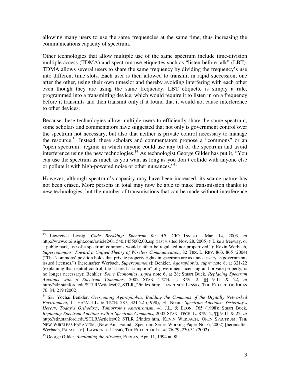allowing many users to use the same frequencies at the same time, thus increasing the communications capacity of spectrum.

Other technologies that allow multiple use of the same spectrum include time-division multiple access (TDMA) and spectrum use etiquettes such as "listen before talk" (LBT). TDMA allows several users to share the same frequency by dividing the frequency's use into different time slots. Each user is then allowed to transmit in rapid succession, one after the other, using their own timeslot and thereby avoiding interfering with each other even though they are using the same frequency. LBT etiquette is simply a rule, programmed into a transmitting device, which would require it to listen in on a frequency before it transmits and then transmit only if it found that it would not cause interference to other devices.

Because these technologies allow multiple users to efficiently share the same spectrum, some scholars and commentators have suggested that not only is government control over the spectrum not necessary, but also that neither is private control necessary to manage the resource.<sup>13</sup> Instead, these scholars and commentators propose a "commons" or an "open spectrum" regime in which anyone could use any bit of the spectrum and avoid interference using the new technologies. <sup>14</sup> As technologist George Gilder has put it, "You can use the spectrum as much as you want as long as you don't collide with anyone else or pollute it with high-powered noise or other nuisances."<sup>15</sup>

However, although spectrum's capacity may have been increased, its scarce nature has not been erased. More persons in total may now be able to make transmission thanks to new technologies, but the number of transmissions that can be made without interference

<sup>13</sup> Lawrence Lessig, *Code Breaking: Spectrum for All*, CIO INSIGHT, Mar. 14, 2003, *at* http://www.cioinsight.com/article2/0,1540,1455002,00.asp (last visited Nov. 28, 2005) ("Like a freeway, or a public park, use of a spectrum commons would neither be regulated nor propertized."); Kevin Werbach, *Supercommons: Toward a Unified Theory of Wireless Communication*, 82 TEX. L. REV. 863, 865 (2004) ("The 'commons' position holds that private property rights in spectrum are as unnecessary as governmentissued licenses.") [hereinafter Werbach, *Supercommons*]; Benkler, *Agoraphobia*, *supra* note 8, at 321-22 (explaining that central control, the "shared assumption" of government licensing and private property, is no longer necessary); Benkler, *Some Economics*, *supra* note 6, at 28; Stuart Buck, *Replacing Spectrum Auctions with a Spectrum Commons*, 2002 STAN. TECH. L. REV. 2, ¶¶ 9-11 & 22, *at* http://stlr.stanford.edu/STLR/Articles/02\_STLR\_2/index.htm; LAWRENCE LESSIG, THE FUTURE OF IDEAS 76, 84, 219 (2002).

<sup>14</sup> *See* Yochai Benkler, *Overcoming Agoraphobia: Building the Commons of the Digitally Networked Environment*, 11 HARV. J.L. & TECH. 287, 321-22 (1998); Eli Noam, *Spectrum Auctions: Yesterday's Heresy, Today's Orthodoxy, Tomorrow's Anachronism*, 41 J.L. & ECON. 765 (1998); Stuart Buck, *Replacing Spectrum Auctions with a Spectrum Commons*, 2002 STAN. TECH. L. REV. 2, ¶¶ 9-11 & 22, *at* http://stlr.stanford.edu/STLR/Articles/02\_STLR\_2/index.htm. KEVIN WERBACH, OPEN SPECTRUM: THE NEW WIRELESS PARADIGM, (New Am. Found., Spectrum Series Working Paper No. 6, 2002) [hereinafter Werbach, PARADIGM]; LAWRENCE LESSIG, THE FUTURE OF IDEAS 76-79, 230-31 (2002).

<sup>15</sup> George Gilder, *Auctioning the Airways*, FORBES, Apr. 11, 1994 at 98.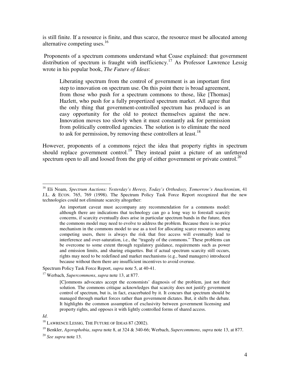is still finite. If a resource is finite, and thus scarce, the resource must be allocated among alternative competing uses.<sup>16</sup>

Proponents of a spectrum commons understand what Coase explained: that government distribution of spectrum is fraught with inefficiency.<sup>17</sup> As Professor Lawrence Lessig wrote in his popular book, *The Future of Ideas*:

Liberating spectrum from the control of government is an important first step to innovation on spectrum use. On this point there is broad agreement, from those who push for a spectrum commons to those, like [Thomas] Hazlett, who push for a fully propertized spectrum market. All agree that the only thing that government-controlled spectrum has produced is an easy opportunity for the old to protect themselves against the new. Innovation moves too slowly when it must constantly ask for permission from politically controlled agencies. The solution is to eliminate the need to ask for permission, by removing these controllers at least.<sup>18</sup>

However, proponents of a commons reject the idea that property rights in spectrum should replace government control.<sup>19</sup> They instead paint a picture of an unfettered spectrum open to all and loosed from the grip of either government or private control.<sup>20</sup>

Spectrum Policy Task Force Report, *supra* note 5, at 40-41.

<sup>17</sup> Werbach, *Supercommons*, *supra* note 13, at 877.

*Id*.

<sup>16</sup> Eli Noam, *Spectrum Auctions: Yesterday's Heresy, Today's Orthodoxy, Tomorrow's Anachronism*, 41 J.L. & ECON. 765, 769 (1998). The Spectrum Policy Task Force Report recognized that the new technologies could not eliminate scarcity altogether:

An important caveat must accompany any recommendation for a commons model: although there are indications that technology can go a long way to forestall scarcity concerns, if scarcity eventually does arise in particular spectrum bands in the future, then the commons model may need to evolve to address the problem. Because there is no price mechanism in the commons model to use as a tool for allocating scarce resources among competing users, there is always the risk that free access will eventually lead to interference and over-saturation, i.e., the "tragedy of the commons." These problems can be overcome to some extent through regulatory guidance, requirements such as power and emission limits, and sharing etiquettes. But if actual spectrum scarcity still occurs, rights may need to be redefined and market mechanisms (e.g., band managers) introduced because without them there are insufficient incentives to avoid overuse.

<sup>[</sup>C]ommons advocates accept the economists' diagnosis of the problem, just not their solution. The commons critique acknowledges that scarcity does not justify government control of spectrum, but is, in fact, exacerbated by it. It concurs that spectrum should be managed through market forces rather than government dictates. But, it shifts the debate. It highlights the common assumption of exclusivity between government licensing and property rights, and opposes it with lightly controlled forms of shared access.

<sup>&</sup>lt;sup>18</sup> LAWRENCE LESSIG, THE FUTURE OF IDEAS 87 (2002).

<sup>19</sup> Benkler, *Agoraphobia*, *supra* note 8, at 324 & 340-66; Werbach, *Supercommons*, *supra* note 13, at 877.

<sup>20</sup> *See supra* note 13.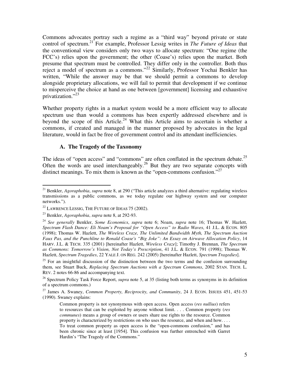Commons advocates portray such a regime as a "third way" beyond private or state control of spectrum. 21 For example, Professor Lessig writes in *The Future of Ideas* that the conventional view considers only two ways to allocate spectrum: "One regime (the FCC's) relies upon the government; the other (Coase's) relies upon the market. Both presume that spectrum must be controlled. They differ only in the controller. Both thus reject a model of spectrum as a commons."<sup>22</sup> Similarly, Professor Yochai Benkler has written, "While the answer may be that we should permit a commons to develop alongside proprietary allocations, we will fail to permit that development if we continue to misperceive the choice at hand as one between [government] licensing and exhaustive privatization."<sup>23</sup>

Whether property rights in a market system would be a more efficient way to allocate spectrum use than would a commons has been expertly addressed elsewhere and is beyond the scope of this Article.<sup>24</sup> What this Article aims to ascertain is whether a commons, if created and managed in the manner proposed by advocates in the legal literature, would in fact be free of government control and its attendant inefficiencies.

#### **A. The Tragedy of the Taxonomy**

The ideas of "open access" and "commons" are often conflated in the spectrum debate.<sup>25</sup> Often the words are used interchangeably. <sup>26</sup> But they are two separate concepts with distinct meanings. To mix them is known as the "open-commons confusion."<sup>27</sup>

<sup>21</sup> Benkler, *Agoraphobia*, *supra* note 8, at 290 ("This article analyzes a third alternative: regulating wireless transmissions as a public commons, as we today regulate our highway system and our computer networks.").

 $^{22}$  LAWRENCE LESSIG, THE FUTURE OF IDEAS 75 (2002).

<sup>23</sup> Benkler, *Agoraphobia*, *supra* note 8, at 292-93.

<sup>24</sup> *See generally* Benkler, *Some Economics*, *supra* note 6; Noam, *supra* note 16; Thomas W. Hazlett, *Spectrum Flash Dance: Eli Noam's Proposal for "Open Access" to Radio Waves*, 41 J.L. & ECON. 805 (1998); Thomas W. Hazlett, *The Wireless Craze, The Unlimited Bandwidth Myth, The Spectrum Auction Faux Pas, and the Punchline to Ronald Coase's "Big Joke": An Essay on Airwave Allocation Policy*, 14 HARV. J.L. & TECH. 335 (2001) [hereinafter Hazlett, *Wireless Craze*]; Timothy J. Brennan, *The Spectrum as Commons: Tomorrow's Vision, Not Today's Prescription*, 41 J.L. & ECON. 791 (1998); Thomas W. Hazlett, *Spectrum Tragedies*, 22 YALE J. ON REG. 242 (2005) [hereinafter Hazlett, *Spectrum Tragedies*].

 $25$  For an insightful discussion of the distinction between the two terms and the confusion surrounding them, see Stuart Buck, *Replacing Spectrum Auctions with a Spectrum Commons*, 2002 STAN. TECH. L. REV. 2 notes 66-86 and accompanying text.

<sup>&</sup>lt;sup>26</sup> Spectrum Policy Task Force Report, *supra* note 5, at 35 (listing both terms as synonyms in its definition of a spectrum commons.)

<sup>27</sup> James A. Swaney, *Common Property, Reciprocity, and Community*, 24 J. ECON. ISSUES 451, 451-53 (1990). Swaney explains:

Common property is not synonymous with open access. Open access (*res nullius*) refers to resources that can be exploited by anyone without limit. . . . Common property (*res communes*) means a group of owners or users share use rights to the resource. Common property is characterized by restrictions on who uses the resource, and when and how. . . . To treat common property as open access is the "open-commons confusion," and has been chronic since at least [1954]. This confusion was further entrenched with Garret Hardin's "The Tragedy of the Commons."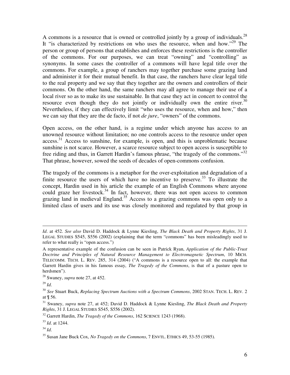A commons is a resource that is owned or controlled jointly by a group of individuals.<sup>28</sup> It "is characterized by restrictions on who uses the resource, when and how."<sup>29</sup> The person or group of persons that establishes and enforces these restrictions is the controller of the commons. For our purposes, we can treat "owning" and "controlling" as synonyms. In some cases the controller of a commons will have legal title over the commons. For example, a group of ranchers may together purchase some grazing land and administer it for their mutual benefit. In that case, the ranchers have clear legal title to the real property and we say that they together are the owners and controllers of their commons. On the other hand, the same ranchers may all agree to manage their use of a local river so as to make its use sustainable. In that case they act in concert to control the resource even though they do not jointly or individually own the entire river.<sup>30</sup> Nevertheless, if they can effectively limit "who uses the resource, when and how," then we can say that they are the de facto, if not *de jure*, "owners" of the commons.

Open access, on the other hand, is a regime under which anyone has access to an unowned resource without limitation; no one controls access to the resource under open  $access$ <sup>31</sup> Access to sunshine, for example, is open, and this is unproblematic because sunshine is not scarce. However, a scarce resource subject to open access is susceptible to free riding and thus, in Garrett Hardin's famous phrase, "the tragedy of the commons."<sup>32</sup> That phrase, however, sowed the seeds of decades of open-commons confusion.

The tragedy of the commons is a metaphor for the over-exploitation and degradation of a finite resource the users of which have no incentive to preserve.<sup>33</sup> To illustrate the concept, Hardin used in his article the example of an English Commons where anyone could graze her livestock.<sup>34</sup> In fact, however, there was not open access to common grazing land in medieval England.<sup>35</sup> Access to a grazing commons was open only to a limited class of users and its use was closely monitored and regulated by that group in

*Id*. at 452. *See also* David D. Haddock & Lynne Kiesling, *The Black Death and Property Rights*, 31 J. LEGAL STUDIES S545, S556 (2002) (explaining that the term "commons" has been misleadingly used to refer to what really is "open access.")

A representative example of the confusion can be seen in Patrick Ryan, *Application of the Public-Trust Doctrine and Principles of Natural Resource Management to Electromagnetic Spectrum*, 10 MICH. TELECOMM. TECH. L. REV. 285, 314 (2004) ("A commons is a resource open to all: the example that Garrett Hardin gives in his famous essay, *The Tragedy of the Commons*, is that of a pasture open to herdsmen").

<sup>28</sup> Swaney, *supra* note 27, at 452.

<sup>29</sup> *Id*.

<sup>30</sup> *See* Stuart Buck, *Replacing Spectrum Auctions with a Spectrum Commons*, 2002 STAN. TECH. L. REV. 2 at ¶ 56.

<sup>31</sup> Swaney, *supra* note 27, at 452; David D. Haddock & Lynne Kiesling, *The Black Death and Property Rights*, 31 J. LEGAL STUDIES S545, S556 (2002).

<sup>32</sup> Garrett Hardin, *The Tragedy of the Commons*, 162 SCIENCE 1243 (1968).

<sup>33</sup> *Id*. at 1244.

<sup>34</sup> *Id*.

<sup>35</sup> Susan Jane Buck Cox, *No Tragedy on the Commons*, 7 ENVTL. ETHICS 49, 53-55 (1985).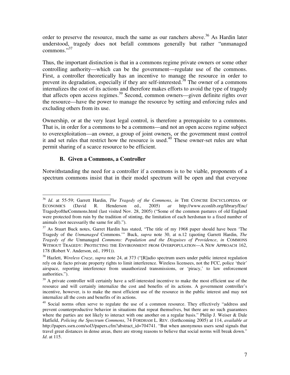order to preserve the resource, much the same as our ranchers above.<sup>36</sup> As Hardin later understood, tragedy does not befall commons generally but rather "unmanaged commons." 37

Thus, the important distinction is that in a commons regime private owners or some other controlling authority—which can be the government—regulate use of the commons. First, a controller theoretically has an incentive to manage the resource in order to prevent its degradation, especially if they are self-interested.<sup>38</sup> The owner of a commons internalizes the cost of its actions and therefore makes efforts to avoid the type of tragedy that affects open access regimes.<sup>39</sup> Second, common owners—given definite rights over the resource—have the power to manage the resource by setting and enforcing rules and excluding others from its use.

Ownership, or at the very least legal control, is therefore a prerequisite to a commons. That is, in order for a commons to be a commons—and not an open access regime subject to overexploitation—an owner, a group of joint owners, or the government must control it and set rules that restrict how the resource is used. 40 These owner-set rules are what permit sharing of a scarce resource to be efficient.

#### **B. Given a Commons, a Controller**

Notwithstanding the need for a controller if a commons is to be viable, proponents of a spectrum commons insist that in their model spectrum will be open and that everyone

<sup>36</sup> *Id*. at 55-59; Garrett Hardin, *The Tragedy of the Commons*, *in* THE CONCISE ENCYCLOPEDIA OF ECONOMICS (David R. Henderson ed., 2005) *at* http://www.econlib.org/library/Enc/ TragedyoftheCommons.html (last visited Nov. 28, 2005) ("Some of the common pastures of old England were protected from ruin by the tradition of stinting, the limitation of each herdsman to a fixed number of animals (not necessarily the same for all).").

 $37$  As Stuart Buck notes, Garret Hardin has stated, "The title of my 1968 paper should have been 'The Tragedy of the *Unmanaged* Commons.'" Buck, *supra* note 30, at n.12 (quoting Garrett Hardin, *The Tragedy of the* Unmanaged *Commons: Population and the Disguises of Providence*, *in* COMMONS WITHOUT TRAGEDY: PROTECTING THE ENVIRONMENT FROM OVERPOPULATION—A NEW APPROACH 162, 178 (Robert V. Anderson, ed., 1991)).

<sup>38</sup> Hazlett, *Wireless Craze*, *supra* note 24, at 373 ("[R]adio spectrum users under public interest regulation rely on de facto private property rights to limit interference. Wireless licensees, not the FCC, police 'their' airspace, reporting interference from unauthorized transmissions, or 'piracy,' to law enforcement authorities.").

 $39$  A private controller will certainly have a self-interested incentive to make the most efficient use of the resource and will certainly internalize the cost and benefits of its actions. A government controller's incentive, however, is to make the most efficient use of the resource in the public interest and may not internalize all the costs and benefits of its actions.

<sup>&</sup>lt;sup>40</sup> Social norms often serve to regulate the use of a common resource. They effectively "address and prevent counterproductive behavior in situations that repeat themselves, but there are no such guarantees where the parties are not likely to interact with one another on a regular basis." Philip J. Weiser & Dale Hatfield, *Policing the Spectrum Commons*, 74 FORDHAM L. REV. (forthcoming 2005) at 114, *available at* http://papers.ssrn.com/sol3/papers.cfm?abstract\_id=704741. "But when anonymous users send signals that travel great distances in dense areas, there are strong reasons to believe that social norms will break down." *Id*. at 115.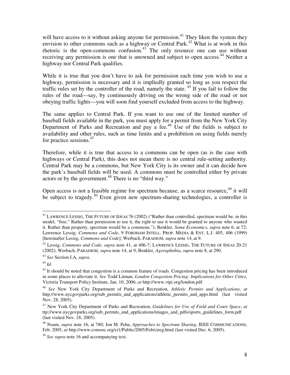will have access to it without asking anyone for permission.<sup>41</sup> They liken the system they envision to other commons such as a highway or Central Park.<sup>42</sup> What is at work in this rhetoric is the open-commons confusion.<sup>43</sup> The only resource one can use without receiving any permission is one that is unowned and subject to open access.<sup>44</sup> Neither a highway nor Central Park qualifies.

While it is true that you don't have to ask for permission each time you wish to use a highway, permission is necessary and it is impliedly granted so long as you respect the traffic rules set by the controller of the road, namely the state. 45 If you fail to follow the rules of the road—say, by continuously driving on the wrong side of the road or not obeying traffic lights—you will soon find yourself excluded from access to the highway.

The same applies to Central Park. If you want to use one of the limited number of baseball fields available in the park, you must apply for a permit from the New York City Department of Parks and Recreation and pay a fee.<sup>46</sup> Use of the fields is subject to availability and other rules, such as time limits and a prohibition on using fields merely for practice sessions. 47

Therefore, while it is true that access to a commons can be open (as is the case with highways or Central Park), this does not mean there is no central rule-setting authority. Central Park may be a commons, but New York City is its owner and it can decide how the park's baseball fields will be used. A commons must be controlled either by private actors or by the government.<sup>48</sup> There is no "third way."

Open access is not a feasible regime for spectrum because, as a scarce resource, <sup>49</sup> it will be subject to tragedy.<sup>50</sup> Even given new spectrum-sharing technologies, a controller is

44 *Id*.

<sup>&</sup>lt;sup>41</sup> LAWRENCE LESSIG, THE FUTURE OF IDEAS 76 (2002) ("Rather than controlled, spectrum would be, in this model, "free." Rather than permission to use it, the right to use it would be granted to anyone who wanted it. Rather than property, spectrum would be a commons."); Benkler, *Some Economics*, *supra* note 6, at 72; Lawrence Lessig, *Commons and Code*, 9 FORDHAM INTELL. PROP. MEDIA & ENT. L.J. 405, 406 (1999) [hereinafter Lessig, *Commons and Code*]; Werbach, PARADIGM, *supra* note 14, at 9.

<sup>42</sup> Lessig, *Commons and Code*, *supra* note 41, at 406-7; LAWRENCE LESSIG, THE FUTURE OF IDEAS 20-21 (2002); Werbach, PARADIGM, *supra* note 14, at 9; Benkler, *Agoraphobia*, *supra* note 8, at 290.

<sup>43</sup> *See* Section I.A, *supra*.

<sup>&</sup>lt;sup>45</sup> It should be noted that congestion is a common feature of roads. Congestion pricing has been introduced in some places to alleviate it. *See* Todd Litman, *London Congestion Pricing: Implications for Other Cities*, Victoria Transport Policy Institute, Jan. 10, 2006, *at* http://www.vtpi.org/london.pdf.

<sup>46</sup> *See* New York City Department of Parks and Recreation, *Athletic Permits and Applications*, *at* http://www.nycgovparks.org/sub\_permits\_and\_applications/athletic\_permits\_and\_apps.html (last visited Nov. 28, 2005).

<sup>47</sup> New York City Department of Parks and Recreation, *Guidelines for Use of Field and Court Space*, *at* ttp://www.nycgovparks.org/sub\_permits\_and\_applications/images\_and\_pdfs/sports\_guidelines\_form.pdf (last visited Nov. 28, 2005).

<sup>48</sup> Noam, *supra* note 16, at 780; Jon M. Peha, *Approaches to Spectrum Sharing*, IEEE COMMUNICATIONS, Feb. 2005, *at* http://www.comsoc.org/ci1/Public/2005/Feb/cireg.html (last visited Dec. 6, 2005).

<sup>49</sup> *See supra* note 16 and accompanying text.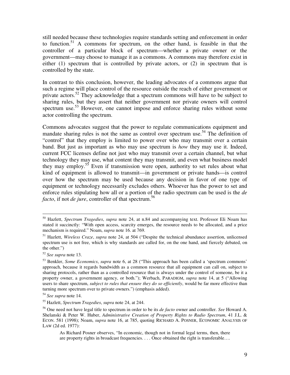still needed because these technologies require standards setting and enforcement in order to function. <sup>51</sup> A commons for spectrum, on the other hand, is feasible in that the controller of a particular block of spectrum—whether a private owner or the government—may choose to manage it as a commons. A commons may therefore exist in either (1) spectrum that is controlled by private actors, or (2) in spectrum that is controlled by the state.

In contrast to this conclusion, however, the leading advocates of a commons argue that such a regime will place control of the resource outside the reach of either government or private actors.<sup>52</sup> They acknowledge that a spectrum commons will have to be subject to sharing rules, but they assert that neither government nor private owners will control spectrum use.<sup>53</sup> However, one cannot impose and enforce sharing rules without some actor controlling the spectrum.

Commons advocates suggest that the power to regulate communications equipment and mandate sharing rules is not the same as control over spectrum use.<sup>54</sup> The definition of "control" that they employ is limited to power over who may transmit over a certain band. But just as important as who may use spectrum is *how* they may use it. Indeed, current FCC licenses define not just who may transmit over a certain channel, but what technology they may use, what content they may transmit, and even what business model they may employ.<sup>55</sup> Even if transmission were open, authority to set rules about what kind of equipment is allowed to transmit—in government or private hands—is control over how the spectrum may be used because any decision in favor of one type of equipment or technology necessarily excludes others. Whoever has the power to set and enforce rules stipulating how all or a portion of the radio spectrum can be used is the *de facto*, if not *de jure*, controller of that spectrum. 56

<sup>50</sup> Hazlett, *Spectrum Tragedies*, *supra* note 24, at n.84 and accompanying text. Professor Eli Noam has stated it succinctly: "With open access, scarcity emerges, the resource needs to be allocated, and a price mechanism is required." Noam, *supra* note 16. at 769.

<sup>51</sup> Hazlett, *Wireless Craze*, *supra* note 24, at 504 ("Despite the technical abundance assertion, unlicensed spectrum use is not free, which is why standards are called for, on the one hand, and fiercely debated, on the other.")

<sup>52</sup> *See supra* note 13.

<sup>53</sup> Benkler, *Some Economics*, *supra* note 6, at 28 ("This approach has been called a 'spectrum commons' approach, because it regards bandwidth as a common resource that all equipment can call on, subject to sharing protocols, rather than as a controlled resource that is always under the control of someone, be it a property owner, a government agency, or both."); Werbach, PARADIGM, *supra* note 14, at 5 ("Allowing users to share spectrum, *subject to rules that ensure they do so efficiently*, would be far more effective than turning more spectrum over to private owners.") (emphasis added).

<sup>54</sup> *See supra* note 14.

<sup>55</sup> Hazlett, *Spectrum Tragedies*, *supra* note 24, at 244.

<sup>56</sup> One need not have legal title to spectrum in order to be its *de facto* owner and controller. *See* Howard A. Shelanski & Peter W. Huber, *Administrative Creation of Property Rights to Radio Spectrum*, 41 J.L. & ECON. 581 (1998); Noam, *supra* note 16, at 785, quoting RICHARD A. POSNER, ECONOMIC ANALYSIS OF LAW (2d ed. 1977):

As Richard Posner observes, "In economic, though not in formal legal terms, then, there are property rights in broadcast frequencies. . . . Once obtained the right is transferable….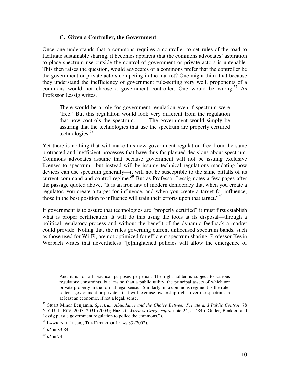#### **C. Given a Controller, the Government**

Once one understands that a commons requires a controller to set rules-of-the-road to facilitate sustainable sharing, it becomes apparent that the commons advocates' aspiration to place spectrum use outside the control of government or private actors is untenable. This then raises the question, would advocates of a commons prefer that the controller be the government or private actors competing in the market? One might think that because they understand the inefficiency of government rule-setting very well, proponents of a commons would not choose a government controller. One would be wrong.<sup>57</sup> As Professor Lessig writes,

There would be a role for government regulation even if spectrum were 'free.' But this regulation would look very different from the regulation that now controls the spectrum. . . . The government would simply be assuring that the technologies that use the spectrum are properly certified technologies. 58

Yet there is nothing that will make this new government regulation free from the same protracted and inefficient processes that have thus far plagued decisions about spectrum. Commons advocates assume that because government will not be issuing exclusive licenses to spectrum—but instead will be issuing technical regulations mandating how devices can use spectrum generally—it will not be susceptible to the same pitfalls of its current command-and-control regime. <sup>59</sup> But as Professor Lessig notes a few pages after the passage quoted above, "It is an iron law of modern democracy that when you create a regulator, you create a target for influence, and when you create a target for influence, those in the best position to influence will train their efforts upon that target."<sup>60</sup>

If government is to assure that technologies are "properly certified" it must first establish what is proper certification. It will do this using the tools at its disposal—through a political regulatory process and without the benefit of the dynamic feedback a market could provide. Noting that the rules governing current unlicensed spectrum bands, such as those used for Wi-Fi, are not optimized for efficient spectrum sharing, Professor Kevin Werbach writes that nevertheless "[e]nlightened policies will allow the emergence of

60 *Id*. at 74.

And it is for all practical purposes perpetual. The right-holder is subject to various regulatory constraints, but less so than a public utility, the principal assets of which are private property in the formal legal sense." Similarly, in a commons regime it is the rulesetter—government or private—that will exercise ownership rights over the spectrum in at least an economic, if not a legal, sense.

<sup>57</sup> Stuart Minor Benjamin, *Spectrum Abundance and the Choice Between Private and Public Control*, 78 N.Y.U. L. REV. 2007, 2031 (2003); Hazlett, *Wireless Craze*, *supra* note 24, at 484 ("Gilder, Benkler, and Lessig pursue government regulation to police the commons.").

<sup>58</sup> LAWRENCE LESSIG, THE FUTURE OF IDEAS 83 (2002).

<sup>59</sup> *Id*. at 83-84.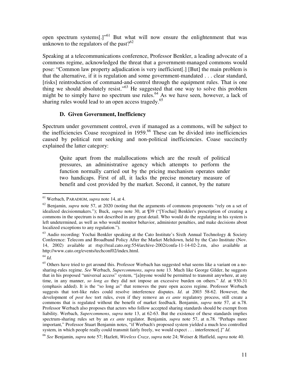open spectrum systems[.]"<sup>61</sup> But what will now ensure the enlightenment that was unknown to the regulators of the past? $62$ 

Speaking at a telecommunications conference, Professor Benkler, a leading advocate of a commons regime, acknowledged the threat that a government-managed commons would pose: "Common law property adjudication is very inefficient[.] [But] the main problem is that the alternative, if it is regulation and some government-mandated . . . clear standard, [risks] reintroduction of command-and-control through the equipment rules. That is one thing we should absolutely resist."<sup>63</sup> He suggested that one way to solve this problem might be to simply have no spectrum use rules.<sup>64</sup> As we have seen, however, a lack of sharing rules would lead to an open access tragedy.<sup>65</sup>

#### **D. Given Government, Inefficiency**

Spectrum under government control, even if managed as a commons, will be subject to the inefficiencies Coase recognized in 1959. 66 These can be divided into inefficiencies caused by political rent seeking and non-political inefficiencies. Coase succinctly explained the latter category:

Quite apart from the malallocations which are the result of political pressures, an administrative agency which attempts to perform the function normally carried out by the pricing mechanism operates under two handicaps. First of all, it lacks the precise monetary measure of benefit and cost provided by the market. Second, it cannot, by the nature

64 *Id.*

<sup>61</sup> Werbach, PARADIGM, *supra* note 14, at 4.

<sup>&</sup>lt;sup>62</sup> Benjamin, *supra* note 57, at 2020 (noting that the arguments of commons proponents "rely on a set of idealized decisionmakers."); Buck, *supra* note 30, at ¶39 ("[Yochai] Benkler's prescription of creating a commons in the spectrum is not described in any great detail. Who would do the regulating in his system is left undetermined, as well as who would monitor behavior, administer penalties, and make decisions about localized exceptions to any regulation.").

 $63$  Audio recording: Yochai Benkler speaking at the Cato Institute's Sixth Annual Technology & Society Conference: Telecom and Broadband Policy After the Market Meltdown, held by the Cato Institute (Nov. 14, 2002) available at rtsp://real.cato.org:554/archive-2002/confa-11-14-02-2.rm, also available at http://www.cato.org/events/techconf02/index.html.

 $65$  Others have tried to get around this. Professor Werbach has suggested what seems like a variant on a nosharing-rules regime. *See* Werbach, *Supercommons*, *supra* note 13. Much like George Gilder, he suggests that in his proposed "universal access" system, "[a]nyone would be permitted to transmit anywhere, at any time, in any manner, *so long as* they did not impose an excessive burden on others." *Id*. at 930-31 (emphasis added). It is the "so long as" that removes the pure open access regime. Professor Werbach suggests that tort-like rules could resolve interference disputes. *Id*. at 2003 58-62. However, the development of *post hoc* tort rules, even if they remove an *ex ante* regulatory process, still create a commons that is regulated without the benefit of market feedback. Benjamin, *supra* note 57, at n.78. Professor Werbach also proposes that actors who follow accepted sharing standards should be exempt from liability. Werbach, *Supercommons*, *supra* note 13, at 62-63. But the existence of these standards implies spectrum-sharing rules set by an *ex ante* regulator. Benjamin, *supra* note 57, at n.78. "Perhaps more important," Professor Stuart Benjamin notes, "if Werbach's proposed system yielded a much less controlled system, in which people really could transmit fairly freely, we would expect . . . interference[.]" *Id*.

<sup>66</sup> *See* Benjamin, *supra* note 57; Hazlett, *Wireless Craze*, *supra* note 24; Weiser & Hatfield, *supra* note 40.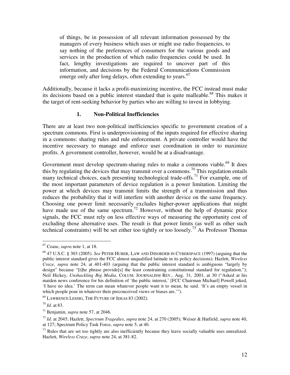of things, be in possession of all relevant information possessed by the managers of every business which uses or might use radio frequencies, to say nothing of the preferences of consumers for the various goods and services in the production of which radio frequencies could be used. In fact, lengthy investigations are required to uncover part of this information, and decisions by the Federal Communications Commission emerge only after long delays, often extending to years.<sup>67</sup>

Additionally, because it lacks a profit-maximizing incentive, the FCC instead must make its decisions based on a public interest standard that is quite malleable.<sup>68</sup> This makes it the target of rent-seeking behavior by parties who are willing to invest in lobbying.

#### **1. Non-Political Inefficiencies**

There are at least two non-political inefficiencies specific to government creation of a spectrum commons. First is underprovisioning of the inputs required for effective sharing in a commons: sharing rules and rule enforcement. A private controller would have the incentive necessary to manage and enforce user coordination in order to maximize profits. A government controller, however, would be at a disadvantage.

Government must develop spectrum-sharing rules to make a commons viable.<sup>69</sup> It does this by regulating the devices that may transmit over a commons.<sup>70</sup> This regulation entails many technical choices, each presenting technological trade-offs.<sup>71</sup> For example, one of the most important parameters of device regulation is a power limitation. Limiting the power at which devices may transmit limits the strength of a transmission and thus reduces the probability that it will interfere with another device on the same frequency. Choosing one power limit necessarily excludes higher-power applications that might have made use of the same spectrum.<sup>72</sup> However, without the help of dynamic price signals, the FCC must rely on less effective ways of measuring the opportunity cost of excluding those alternative uses. The result is that power limits (as well as other such technical constraints) will be set either too tightly or too loosely.<sup>73</sup> As Professor Thomas

<sup>69</sup> LAWRENCE LESSIG, THE FUTURE OF IDEAS 83 (2002).

<sup>67</sup> Coase, *supra* note 1, at 18.

<sup>68</sup> 47 U.S.C. § 303 (2005). *See* PETER HUBER, LAW AND DISORDER IN CYBERSPACE (1997) (arguing that the public interest standard gives the FCC almost unqualified latitude in its policy decisions); Hazlett, *Wireless Craze*, *supra* note 24, at 401-403 (arguing that the public interest standard is ambiguous "largely by design" because "[t]he phrase provide<sup>[s]</sup> the least constraining constitutional standard for regulation."); Neil Hickey, *Unshackling Big Media*, COLUM. JOURNALISM REV., Aug. 31, 2001, at 30 ("Asked at his maiden news conference for his definition of 'the public interest,' [FCC Chairman Michael] Powell joked, 'I have no idea.' The term can mean whatever people want it to mean, he said. 'It's an empty vessel in which people pour in whatever their preconceived views or biases are.'").

<sup>70</sup> *Id*. at 83.

<sup>71</sup> Benjamin, *supra* note 57, at 2046.

<sup>72</sup> *Id*. at 2045; Hazlett, *Spectrum Tragedies*, *supra* note 24, at 270 (2005); Weiser & Hatfield, *supra* note 40, at 127; Spectrum Policy Task Force, *supra* note 5, at 40.

 $^{73}$  Rules that are set too tightly are also inefficiently because they leave socially valuable uses unrealized. Hazlett, *Wireless Craze*, *supra* note 24, at 381-82.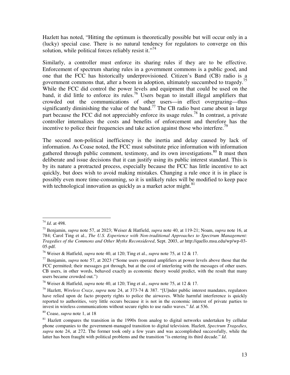Hazlett has noted, "Hitting the optimum is theoretically possible but will occur only in a (lucky) special case. There is no natural tendency for regulators to converge on this solution, while political forces reliably resist it."<sup>74</sup>

Similarly, a controller must enforce its sharing rules if they are to be effective. Enforcement of spectrum sharing rules in a government commons is a public good, and one that the FCC has historically underprovisioned. Citizen's Band (CB) radio is a government commons that, after a boom in adoption, ultimately succumbed to tragedy. 75 While the FCC did control the power levels and equipment that could be used on the band, it did little to enforce its rules.<sup>76</sup> Users began to install illegal amplifiers that crowded out the communications of other users—in effect overgrazing—thus significantly diminishing the value of the band.<sup>77</sup> The CB radio bust came about in large part because the FCC did not appreciably enforce its usage rules.<sup>78</sup> In contrast, a private controller internalizes the costs and benefits of enforcement and therefore has the incentive to police their frequencies and take action against those who interfere.<sup>79</sup>

The second non-political inefficiency is the inertia and delay caused by lack of information. As Coase noted, the FCC must substitute price information with information gathered through public comment, testimony, and its own investigations.<sup>80</sup> It must then deliberate and issue decisions that it can justify using its public interest standard. This is by its nature a protracted process, especially because the FCC has little incentive to act quickly, but does wish to avoid making mistakes. Changing a rule once it is in place is possibly even more time-consuming, so it is unlikely rules will be modified to keep pace with technological innovation as quickly as a market actor might.<sup>81</sup>

<sup>74</sup> *Id*. at 498.

<sup>75</sup> Benjamin, *supra* note 57, at 2023; Weiser & Hatfield, *supra* note 40, at 119-21; Noam, *supra* note 16, at 784; Carol Ting et al., *The U.S. Experience with Non-traditional Approaches to Spectrum Management: Tragedies of the Commons and Other Myths Reconsidered*, Sept. 2003, *at* http://quello.msu.edu/wp/wp-03- 05.pdf.

<sup>76</sup> Weiser & Hatfield, *supra* note 40, at 120; Ting et al., *supra* note 75, at 12 & 17.

<sup>77</sup> Benjamin, *supra* note 57, at 2023 ("Some users operated amplifiers at power levels above those that the FCC permitted; their messages got through, but at the cost of interfering with the messages of other users. CB users, in other words, behaved exactly as economic theory would predict, with the result that many users became crowded out.")

<sup>78</sup> Weiser & Hatfield, *supra* note 40, at 120; Ting et al., *supra* note 75, at 12 & 17.

<sup>79</sup> Hazlett, *Wireless Craze*, *supra* note 24, at 373-74 & 387. "[U]nder public interest mandates, regulators have relied upon de facto property rights to police the airwaves. While harmful interference is quickly reported to authorities, very little occurs because it is not in the economic interest of private parties to invest in wireless communications without secure rights to use radio waves." *Id*. at 536.

<sup>80</sup> Coase, *supra* note 1, at 18

 $81$  Hazlett compares the transition in the 1990s from analog to digital networks undertaken by cellular phone companies to the government-managed transition to digital television. Hazlett, *Spectrum Tragedies*, *supra* note 24, at 272. The former took only a few years and was accomplished successfully, while the latter has been fraught with political problems and the transition "is entering its third decade." *Id*.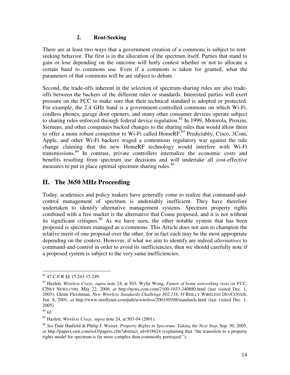#### **2. Rent-Seeking**

There are at least two ways that a government creation of a commons is subject to rentseeking behavior. The first is in the allocation of the spectrum itself. Parties that stand to gain or lose depending on the outcome will hotly contest whether or not to allocate a certain band to commons use. Even if a commons is taken for granted, what the parameters of that commons will be are subject to debate.

Second, the trade-offs inherent in the selection of spectrum-sharing rules are also tradeoffs between the backers of the different rules or standards. Interested parties will exert pressure on the FCC to make sure that their technical standard is adopted or protected. For example, the 2.4 GHz band is a government-controlled commons on which Wi-Fi, cordless phones, garage door openers, and many other consumer devices operate subject to sharing rules enforced through federal device regulation.<sup>82</sup> In 1999, Motorola, Proxim, Siemens, and other companies backed changes to the sharing rules that would allow them to offer a more robust competitor to Wi-Fi called HomeRF.<sup>83</sup> Predictably, Cisco, 3Com, Apple, and other Wi-Fi backers waged a contentious regulatory war against the rule change claiming that the new HomeRF technology would interfere with Wi-Fi transmissions. 84 In contrast, private controllers internalize the economic costs and benefits resulting from spectrum use decisions and will undertake all cost-effective measures to put in place optimal spectrum sharing rules.<sup>85</sup>

# **II. The 3650 MHz Proceeding**

Today, academics and policy makers have generally come to realize that command-andcontrol management of spectrum is undeniably inefficient. They have therefore undertaken to identify alternative management systems. Spectrum property rights combined with a free market is the alternative that Coase proposed, and it is not without its significant critiques.<sup>86</sup> As we have seen, the other notable system that has been proposed is spectrum managed as a commons. This Article does not aim to champion the relative merit of one proposal over the other, for in fact each may be the most appropriate depending on the context. However, if what we aim to identify are indeed *alternatives* to command-and-control in order to avoid its inefficiencies, then we should carefully note if a proposed system is subject to the very same inefficiencies.

<sup>82</sup> 47 C.F.R §§ 15.243-15.249.

<sup>83</sup> Hazlett, *Wireless Craze*, *supra* note 24, at 503; Wylie Wong, *Future of home networking rests on FCC*, C|NET NEWS.COM, May 22, 2000, *at* http://news.com.com/2100-1033-240880.html (last visited Dec. 1, 2005); Glenn Fleishman, *New Wireless Standards Challenge 802.11b*, O'REILLY WIRELESS DEVCENTER, Jun. 8, 2001, *at* http://www.oreillynet.com/pub/a/wireless/2001/05/08/standards.html (last visited Dec. 1, 2005).

<sup>84</sup> *Id*.

<sup>85</sup> Hazlett, *Wireless Craze*, *supra* note 24, at 503-04 (2001).

<sup>86</sup> *See* Dale Hatfield & Philip J. Weiser, *Property Rights in Spectrum: Taking the Next Step*, Sep. 30, 2005, *at* http://papers.ssrn.com/sol3/papers.cfm?abstract\_id=818624 (explaining that "the transition to a property rights model for spectrum is far more complex than commonly portrayed.").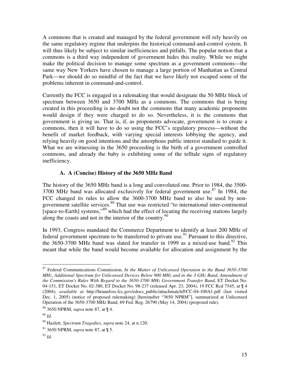A commons that is created and managed by the federal government will rely heavily on the same regulatory regime that underpins the historical command-and-control system. It will thus likely be subject to similar inefficiencies and pitfalls. The popular notion that a commons is a third way independent of government hides this reality. While we might make the political decision to manage some spectrum as a government commons—the same way New Yorkers have chosen to manage a large portion of Manhattan as Central Park—we should do so mindful of the fact that we have likely not escaped some of the problems inherent in command-and-control.

Currently the FCC is engaged in a rulemaking that would designate the 50 MHz block of spectrum between 3650 and 3700 MHz as a commons. The commons that is being created in this proceeding is no doubt not the commons that many academic proponents would design if they were charged to do so. Nevertheless, it is the commons that government is giving us. That is, if, as proponents advocate, government is to create a commons, then it will have to do so using the FCC's regulatory process—without the benefit of market feedback, with varying special interests lobbying the agency, and relying heavily on good intentions and the amorphous public interest standard to guide it. What we are witnessing in the 3650 proceeding is the birth of a government controlled commons, and already the baby is exhibiting some of the telltale signs of regulatory inefficiency.

#### **A. A (Concise) History of the 3650 MHz Band**

The history of the 3650 MHz band is a long and convoluted one. Prior to 1984, the 3500- 3700 MHz band was allocated exclusively for federal government use.<sup>87</sup> In 1984, the FCC changed its rules to allow the 3600-3700 MHz band to also be used by nongovernment satellite services.<sup>88</sup> That use was restricted "to international inter-continental [space-to-Earth] systems,"<sup>89</sup> which had the effect of locating the receiving stations largely along the coasts and not in the interior of the country.<sup>90</sup>

In 1993, Congress mandated the Commerce Department to identify at least 200 MHz of federal government spectrum to be transferred to private use.<sup>91</sup> Pursuant to this directive, the 3650-3700 MHz band was slated for transfer in 1999 as a mixed-use band.<sup>92</sup> This meant that while the band would become available for allocation and assignment by the

<sup>87</sup> Federal Communications Commission, *In the Matter of Unlicensed Operation in the Band 3650-3700 MHz*, *Additional Spectrum for Unlicensed Devices Below 900 MHz and in the 3 GHz Band*, *Amendment of the Commission's Rules With Regard to the 3650-3700 MHz Government Transfer Band*, ET Docket No. 04-151, ET Docket No. 02-380, ET Docket No. 98-237 (released Apr. 23, 2004), 19 FCC Rcd 7545, at ¶ 4 (2004), *available at* http://hraunfoss.fcc.gov/edocs\_public/attachmatch/FCC-04-100A1.pdf (last visited Dec. 1, 2005) (notice of proposed rulemaking) [hereinafter "3650 NPRM"], summarized at Unlicensed Operation of the 3650-3700 MHz Band, 69 Fed. Reg. 26790 (May 14, 2004) (proposed rule).

<sup>88</sup> 3650 NPRM, *supra* note 87, at ¶ 4.

<sup>89</sup> *Id*.

<sup>90</sup> Hazlett, *Spectrum Tragedies*, *supra* note 24, at n.120.

<sup>91</sup> 3650 NPRM, *supra* note 87, at ¶ 5.

<sup>92</sup> *Id*.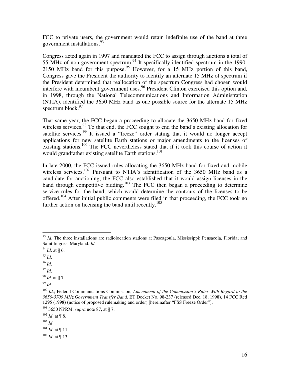FCC to private users, the government would retain indefinite use of the band at three government installations. 93

Congress acted again in 1997 and mandated the FCC to assign through auctions a total of 55 MHz of non-government spectrum.<sup>94</sup> It specifically identified spectrum in the 1990-2150 MHz band for this purpose. <sup>95</sup> However, for a 15 MHz portion of this band, Congress gave the President the authority to identify an alternate 15 MHz of spectrum if the President determined that reallocation of the spectrum Congress had chosen would interfere with incumbent government uses.<sup>96</sup> President Clinton exercised this option and, in 1998, through the National Telecommunications and Information Administration (NTIA), identified the 3650 MHz band as one possible source for the alternate 15 MHz spectrum block. 97

That same year, the FCC began a proceeding to allocate the 3650 MHz band for fixed wireless services.<sup>98</sup> To that end, the FCC sought to end the band's existing allocation for satellite services.<sup>99</sup> It issued a "freeze" order stating that it would no longer accept applications for new satellite Earth stations or major amendments to the licenses of existing stations.<sup>100</sup> The FCC nevertheless stated that if it took this course of action it would grandfather existing satellite Earth stations. 101

In late 2000, the FCC issued rules allocating the 3650 MHz band for fixed and mobile wireless services.<sup>102</sup> Pursuant to NTIA's identification of the 3650 MHz band as a candidate for auctioning, the FCC also established that it would assign licenses in the band through competitive bidding.<sup>103</sup> The FCC then began a proceeding to determine service rules for the band, which would determine the contours of the licenses to be offered.<sup>104</sup> After initial public comments were filed in that proceeding, the FCC took no further action on licensing the band until recently.<sup>105</sup>

97 *Id*.

98 *Id*. at ¶ 7.

99 *Id*.

<sup>&</sup>lt;sup>93</sup> Id. The three installations are radiolocation stations at Pascagoula, Mississippi; Pensacola, Florida; and Saint Inigoes, Maryland. *Id*.

<sup>94</sup> *Id*. at ¶ 6.

<sup>95</sup> *Id*.

<sup>96</sup> *Id*.

<sup>100</sup> *Id*.; Federal Communications Commission, *Amendment of the Commission's Rules With Regard to the 3650-3700 MHz Government Transfer Band*, ET Docket No. 98-237 (released Dec. 18, 1998), 14 FCC Rcd 1295 (1998) (notice of proposed rulemaking and order) [hereinafter "FSS Freeze Order"].

<sup>101</sup> 3650 NPRM, *supra* note 87, at ¶ 7.

<sup>102</sup> *Id*. at ¶ 8.

<sup>103</sup> *Id*.

<sup>104</sup> *Id*. at ¶ 11.

<sup>105</sup> *Id*. at ¶ 13.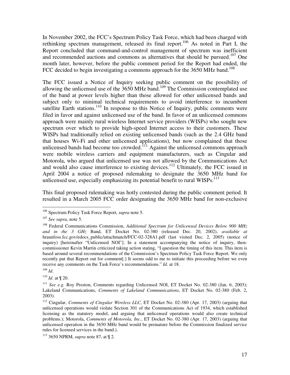In November 2002, the FCC's Spectrum Policy Task Force, which had been charged with rethinking spectrum management, released its final report.<sup>106</sup> As noted in Part I, the Report concluded that command-and-control management of spectrum was inefficient and recommended auctions and commons as alternatives that should be pursued.<sup>107</sup> One month later, however, before the public comment period for the Report had ended, the FCC decided to begin investigating a commons approach for the 3650 MHz band.<sup>108</sup>

The FCC issued a Notice of Inquiry seeking public comment on the possibility of allowing the unlicensed use of the  $3650$  MHz band.<sup>109</sup> The Commission contemplated use of the band at power levels higher than those allowed for other unlicensed bands and subject only to minimal technical requirements to avoid interference to incumbent satellite Earth stations.<sup>110</sup> In response to this Notice of Inquiry, public comments were filed in favor and against unlicensed use of the band. In favor of an unlicensed commons approach were mainly rural wireless Internet service providers (WISPs) who sought new spectrum over which to provide high-speed Internet access to their customers. These WISPs had traditionally relied on existing unlicensed bands (such as the 2.4 GHz band that houses Wi-Fi and other unlicensed applications), but now complained that those unlicensed bands had become too crowded.<sup>111</sup> Against the unlicensed commons approach were mobile wireless carriers and equipment manufacturers, such as Cingular and Motorola, who argued that unlicensed use was not allowed by the Communications Act and would also cause interference to existing devices.<sup>112</sup> Ultimately, the FCC issued in April 2004 a notice of proposed rulemaking to designate the 3650 MHz band for unlicensed use, especially emphasizing its potential benefit to rural WISPs.<sup>113</sup>

This final proposed rulemaking was hotly contested during the public comment period. It resulted in a March 2005 FCC order designating the 3650 MHz band for non-exclusive

<sup>106</sup> Spectrum Policy Task Force Report, *supra* note 5.

<sup>107</sup> *See supra*, note 5.

<sup>108</sup> Federal Communications Commission, *Additional Spectrum for Unlicensed Devices Below 900 MHz and in the 3 GHz* Band, ET Docket No. 02-380 (released Dec. 20, 2002), *available at* hraunfoss.fcc.gov/edocs\_public/attachmatch/FCC-02-328A1.pdf (last visited Dec. 2, 2005) (notice of inquiry) [hereinafter "Unlicensed NOI"]. In a statement accompanying the notice of inquiry, thencommissioner Kevin Martin criticized taking action stating, "I question the timing of this item. This item is based around several recommendations of the Commission's Spectrum Policy Task Force Report. We only recently put that Report out for comment[.] It seems odd to me to initiate this proceeding before we even receive any comments on the Task Force's recommendations." *Id*. at 18.

<sup>109</sup> *Id*.

<sup>110</sup> *Id*. at ¶ 20.

<sup>111</sup> *See e.g.* Roy Preston, Comments regarding Unlicensed NOI, ET Docket No. 02-380 (Jan. 6, 2003); Lakeland Communications, *Comments of Lakeland Communications*, ET Docket No. 02-380 (Feb. 2, 2003).

<sup>112</sup> Cingular, *Comments of Cingular Wireless LLC*, ET Docket No. 02-380 (Apr. 17, 2003) (arguing that unlicensed operations would violate Section 301 of the Communications Act of 1934, which established licensing as the statutory model, and arguing that unlicensed operations would also create technical problems.); Motorola, *Comments of Motorola, Inc.*, ET Docket No. 02-380 (Apr. 17, 2003) (arguing that unlicensed operation in the 3650 MHz band would be premature before the Commission finalized service rules for licensed services in the band.).

<sup>113</sup> 3650 NPRM, *supra* note 87, at ¶ 2.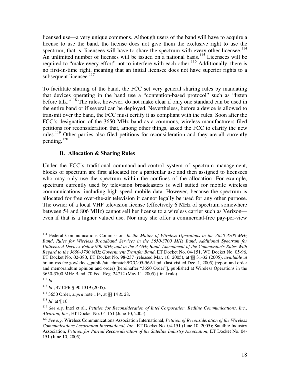licensed use—a very unique commons. Although users of the band will have to acquire a license to use the band, the license does not give them the exclusive right to use the spectrum; that is, licensees will have to share the spectrum with every other licensee.<sup>114</sup> An unlimited number of licenses will be issued on a national basis.<sup>115</sup> Licensees will be required to "make every effort" not to interfere with each other.<sup>116</sup> Additionally, there is no first-in-time right, meaning that an initial licensee does not have superior rights to a subsequent licensee.<sup>117</sup>

To facilitate sharing of the band, the FCC set very general sharing rules by mandating that devices operating in the band use a "contention-based protocol" such as "listen before talk."<sup>118</sup> The rules, however, do not make clear if only one standard can be used in the entire band or if several can be deployed. Nevertheless, before a device is allowed to transmit over the band, the FCC must certify it as compliant with the rules. Soon after the FCC's designation of the 3650 MHz band as a commons, wireless manufacturers filed petitions for reconsideration that, among other things, asked the FCC to clarify the new rules.<sup>119</sup> Other parties also filed petitions for reconsideration and they are all currently pending. 120

#### **B. Allocation & Sharing Rules**

Under the FCC's traditional command-and-control system of spectrum management, blocks of spectrum are first allocated for a particular use and then assigned to licensees who may only use the spectrum within the confines of the allocation. For example, spectrum currently used by television broadcasters is well suited for mobile wireless communications, including high-speed mobile data. However, because the spectrum is allocated for free over-the-air television it cannot legally be used for any other purpose. The owner of a local VHF television license (effectively 6 MHz of spectrum somewhere between 54 and 806 MHz) cannot sell her license to a wireless carrier such as Verizon even if that is a higher valued use. Nor may she offer a commercial-free pay-per-view

<sup>114</sup> Federal Communications Commission, *In the Matter of Wireless Operations in the 3650-3700 MHz Band*, *Rules for Wireless Broadband Services in the 3650-3700 MHz Band*, *Additional Spectrum for Unlicensed Devices Below 900 MHz and in the 3 GHz Band*, *Amendment of the Commission's Rules With Regard to the 3650-3700 MHz Government Transfer Band*, ET Docket No. 04-151, WT Docket No. 05-96, ET Docket No. 02-380, ET Docket No. 98-237 (released Mar. 16, 2005), at ¶¶ 31-32 (2005), *available at* hraunfoss.fcc.gov/edocs\_public/attachmatch/FCC-05-56A1.pdf (last visited Dec. 1, 2005) (report and order and memorandum opinion and order) [hereinafter "3650 Order"], published at Wireless Operations in the 3650-3700 MHz Band, 70 Fed. Reg. 24712 (May 11, 2005) (final rule).

<sup>115</sup> *Id*.

<sup>116</sup> *Id*.; 47 CFR § 90.1319 (2005).

<sup>117</sup> 3650 Order, *supra* note 114, at ¶¶ 14 & 28.

<sup>118</sup> *Id*. at ¶ 16.

<sup>119</sup> *See e.g.* Intel et al., *Petition for Reconsideration of Intel Corporation, Redline Communications, Inc., Alvarion, Inc.*, ET Docket No. 04-151 (June 10, 2005).

<sup>120</sup> *See e.g.* Wireless Communications Association International, *Petition of Reconsideration of the Wireless Communications Association International, Inc*., ET Docket No. 04-151 (June 10, 2005); Satellite Industry Association, *Petition for Partial Reconsideration of the Satellite Industry Association*, ET Docket No. 04- 151 (June 10, 2005).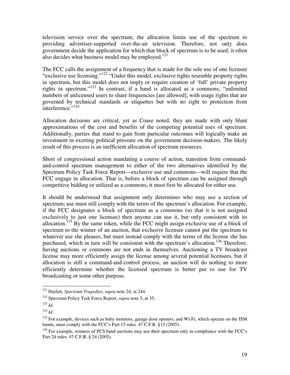television service over the spectrum; the allocation limits use of the spectrum to providing advertiser-supported over-the-air television. Therefore, not only does government decide the application for which that block of spectrum is to be used, it often also decides what business model may be employed.<sup>121</sup>

The FCC calls the assignment of a frequency that is made for the sole use of one licensee "exclusive use licensing."<sup>122</sup> "Under this model, exclusive rights resemble property rights in spectrum, but this model does not imply or require creation of 'full' private property rights in spectrum." 123 In contrast, if a band is allocated as a commons, "unlimited numbers of unlicensed users to share frequencies [are allowed], with usage rights that are governed by technical standards or etiquettes but with no right to protection from interference."<sup>124</sup>

Allocation decisions are critical, yet as Coase noted, they are made with only blunt approximations of the cost and benefits of the competing potential uses of spectrum. Additionally, parties that stand to gain from particular outcomes will logically make an investment in exerting political pressure on the government decision-makers. The likely result of this process is an inefficient allocation of spectrum resources.

Short of congressional action mandating a course of action, transition from commandand-control spectrum management to either of the two alternatives identified by the Spectrum Policy Task Force Report—exclusive use and commons—will require that the FCC engage in allocation. That is, before a block of spectrum can be assigned through competitive bidding or utilized as a commons, it must first be allocated for either use.

It should be understood that assignment only determines who may use a section of spectrum; use must still comply with the terms of the spectrum's allocation. For example, if the FCC designates a block of spectrum as a commons (so that it is not assigned exclusively to just one licensee) then anyone can use it, but only consistent with its allocation.<sup>125</sup> By the same token, while the FCC might assign exclusive use of a block of spectrum to the winner of an auction, that exclusive licensee cannot put the spectrum to whatever use she pleases, but must instead comply with the terms of the license she has purchased, which in turn will be consistent with the spectrum's allocation.<sup>126</sup> Therefore, having auctions or commons are not ends in themselves. Auctioning a TV broadcast license may more efficiently assign the license among several potential licensees, but if allocation is still a command-and-control process, an auction will do nothing to more efficiently determine whether the licensed spectrum is better put to use for TV broadcasting or some other purpose.

<sup>121</sup> Hazlett, *Spectrum Tragedies*, *supra* note 24, at 244.

<sup>122</sup> Spectrum Policy Task Force Report, *supra* note 5, at 35.

<sup>123</sup> *Id*.

<sup>124</sup> *Id*.

<sup>&</sup>lt;sup>125</sup> For example, devices such as baby monitors, garage door openers, and Wi-Fi, which operate on the ISM bands, must comply with the FCC's Part 15 rules. 47 C.F.R. §15 (2005).

 $126$  For example, winners of PCS band auctions may use their spectrum only in compliance with the FCC's Part 24 rules. 47 C.F.R. § 24 (2005).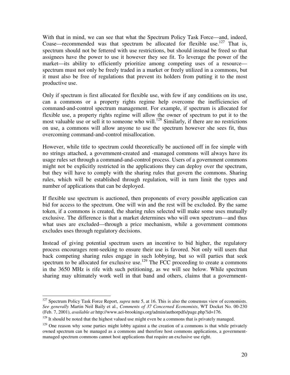With that in mind, we can see that what the Spectrum Policy Task Force—and, indeed, Coase—recommended was that spectrum be allocated for flexible use.<sup>127</sup> That is, spectrum should not be fettered with use restrictions, but should instead be freed so that assignees have the power to use it however they see fit. To leverage the power of the market—its ability to efficiently prioritize among competing uses of a resource spectrum must not only be freely traded in a market or freely utilized in a commons, but it must also be free of regulations that prevent its holders from putting it to the most productive use.

Only if spectrum is first allocated for flexible use, with few if any conditions on its use, can a commons or a property rights regime help overcome the inefficiencies of command-and-control spectrum management. For example, if spectrum is allocated for flexible use, a property rights regime will allow the owner of spectrum to put it to the most valuable use or sell it to someone who will.<sup>128</sup> Similarly, if there are no restrictions on use, a commons will allow anyone to use the spectrum however she sees fit, thus overcoming command-and-control misallocation.

However, while title to spectrum could theoretically be auctioned off in fee simple with no strings attached, a government-created and -managed commons will always have its usage rules set through a command-and-control process. Users of a government commons might not be explicitly restricted in the applications they can deploy over the spectrum, but they will have to comply with the sharing rules that govern the commons. Sharing rules, which will be established through regulation, will in turn limit the types and number of applications that can be deployed.

If flexible use spectrum is auctioned, then proponents of every possible application can bid for access to the spectrum. One will win and the rest will be excluded. By the same token, if a commons is created, the sharing rules selected will make some uses mutually exclusive. The difference is that a market determines who will own spectrum—and thus what uses are excluded—through a price mechanism, while a government commons excludes uses through regulatory decisions.

Instead of giving potential spectrum users an incentive to bid higher, the regulatory process encourages rent-seeking to ensure their use is favored. Not only will users that back competing sharing rules engage in such lobbying, but so will parties that seek spectrum to be allocated for exclusive use.<sup>129</sup> The FCC proceeding to create a commons in the 3650 MHz is rife with such petitioning, as we will see below. While spectrum sharing may ultimately work well in that band and others, claims that a government-

<sup>&</sup>lt;sup>127</sup> Spectrum Policy Task Force Report, *supra* note 5, at 16. This is also the consensus view of economists. *See generally* Martin Neil Baily et al., *Comments of 37 Concerned Economists*, WT Docket No. 00-230 (Feb. 7, 2001), *available at* http://www.aei-brookings.org/admin/authorpdfs/page.php?id=176.

 $128$  It should be noted that the highest valued use might even be a commons that is privately managed.

 $129$  One reason why some parties might lobby against a the creation of a commons is that while privately owned spectrum can be managed as a commons and therefore host commons applications, a governmentmanaged spectrum commons cannot host applications that require an exclusive use right.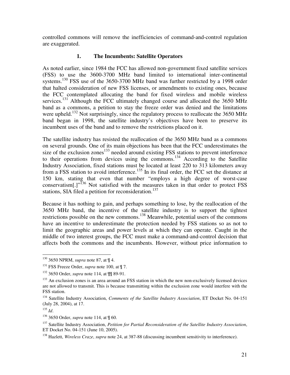controlled commons will remove the inefficiencies of command-and-control regulation are exaggerated.

#### **1. The Incumbents: Satellite Operators**

As noted earlier, since 1984 the FCC has allowed non-government fixed satellite services (FSS) to use the 3600-3700 MHz band limited to international inter-continental systems.<sup>130</sup> FSS use of the 3650-3700 MHz band was further restricted by a 1998 order that halted consideration of new FSS licenses, or amendments to existing ones, because the FCC contemplated allocating the band for fixed wireless and mobile wireless services.<sup>131</sup> Although the FCC ultimately changed course and allocated the 3650 MHz band as a commons, a petition to stay the freeze order was denied and the limitations were upheld.<sup>132</sup> Not surprisingly, since the regulatory process to reallocate the 3650 MHz band began in 1998, the satellite industry's objectives have been to preserve its incumbent uses of the band and to remove the restrictions placed on it.

The satellite industry has resisted the reallocation of the 3650 MHz band as a commons on several grounds. One of its main objections has been that the FCC underestimates the size of the exclusion zones<sup>133</sup> needed around existing FSS stations to prevent interference to their operations from devices using the commons.<sup>134</sup> According to the Satellite Industry Association, fixed stations must be located at least 220 to 313 kilometers away from a FSS station to avoid interference.<sup>135</sup> In its final order, the FCC set the distance at 150 km, stating that even that number "employs a high degree of worst-case conservatism $[.]$ <sup>,, $136$ </sup> Not satisfied with the measures taken in that order to protect FSS stations, SIA filed a petition for reconsideration.<sup>137</sup>

Because it has nothing to gain, and perhaps something to lose, by the reallocation of the 3650 MHz band, the incentive of the satellite industry is to support the tightest restrictions possible on the new commons.<sup>138</sup> Meanwhile, potential users of the commons have an incentive to underestimate the protection needed by FSS stations so as not to limit the geographic areas and power levels at which they can operate. Caught in the middle of two interest groups, the FCC must make a command-and-control decision that affects both the commons and the incumbents. However, without price information to

<sup>130</sup> 3650 NPRM, *supra* note 87, at ¶ 4.

<sup>&</sup>lt;sup>131</sup> FSS Freeze Order, *supra* note 100, at  $\P$  7.

<sup>132</sup> 3650 Order, *supra* note 114, at ¶¶ 89-91.

<sup>&</sup>lt;sup>133</sup> An exclusion zones is an area around an FSS station in which the new non-exclusively licensed devices are not allowed to transmit. This is because transmitting within the exclusion zone would interfere with the FSS station.

<sup>134</sup> Satellite Industry Association, *Comments of the Satellite Industry Association*, ET Docket No. 04-151 (July 28, 2004), at 17.

<sup>135</sup> *Id*.

<sup>136</sup> 3650 Order, *supra* note 114, at ¶ 60.

<sup>137</sup> Satellite Industry Association, *Petition for Partial Reconsideration of the Satellite Industry Association*, ET Docket No. 04-151 (June 10, 2005).

<sup>138</sup> Hazlett, *Wireless Craze*, *supra* note 24, at 387-88 (discussing incumbent sensitivity to interference).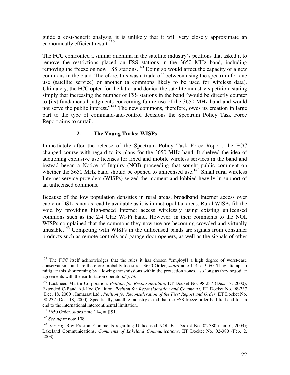guide a cost-benefit analysis, it is unlikely that it will very closely approximate an economically efficient result.<sup>139</sup>

The FCC confronted a similar dilemma in the satellite industry's petitions that asked it to remove the restrictions placed on FSS stations in the 3650 MHz band, including removing the freeze on new FSS stations.<sup>140</sup> Doing so would affect the capacity of a new commons in the band. Therefore, this was a trade-off between using the spectrum for one use (satellite service) or another (a commons likely to be used for wireless data). Ultimately, the FCC opted for the latter and denied the satellite industry's petition, stating simply that increasing the number of FSS stations in the band "would be directly counter to [its] fundamental judgments concerning future use of the 3650 MHz band and would not serve the public interest."<sup>141</sup> The new commons, therefore, owes its creation in large part to the type of command-and-control decisions the Spectrum Policy Task Force Report aims to curtail.

#### **2. The Young Turks: WISPs**

Immediately after the release of the Spectrum Policy Task Force Report, the FCC changed course with regard to its plans for the 3650 MHz band. It shelved the idea of auctioning exclusive use licenses for fixed and mobile wireless services in the band and instead began a Notice of Inquiry (NOI) proceeding that sought public comment on whether the  $3650$  MHz band should be opened to unlicensed use.<sup>142</sup> Small rural wireless Internet service providers (WISPs) seized the moment and lobbied heavily in support of an unlicensed commons.

Because of the low population densities in rural areas, broadband Internet access over cable or DSL is not as readily available as it is in metropolitan areas. Rural WISPs fill the void by providing high-speed Internet access wirelessly using existing unlicensed commons such as the 2.4 GHz Wi-Fi band. However, in their comments to the NOI, WISPs complained that the commons they now use are becoming crowded and virtually unusable.<sup>143</sup> Competing with WISPs in the unlicensed bands are signals from consumer products such as remote controls and garage door openers, as well as the signals of other

<sup>&</sup>lt;sup>139</sup> The FCC itself acknowledges that the rules it has chosen "employ[] a high degree of worst-case conservatism" and are therefore probably too strict. 3650 Order, *supra* note 114, at ¶ 60. They attempt to mitigate this shortcoming by allowing transmissions within the protection zones, "so long as they negotiate agreements with the earth station operators."). *Id*.

<sup>140</sup> Lockheed Martin Corporation, *Petition for Reconsideration*, ET Docket No. 98-237 (Dec. 18, 2000); Extended C-Band Ad-Hoc Coalition, *Petition for Reconsideration and Comments*, ET Docket No. 98-237 (Dec. 18, 2000); Inmarsat Ltd., *Petition for Reconsideration of the First Report and Order*, ET Docket No. 98-237 (Dec. 18, 2000). Specifically, satellite industry asked that the FSS freeze order be lifted and for an end to the international intercontinental limitation.

<sup>141</sup> 3650 Order, *supra* note 114, at ¶ 91.

<sup>142</sup> *See supra* note 108.

<sup>&</sup>lt;sup>143</sup> See e.g. Roy Preston, Comments regarding Unlicensed NOI, ET Docket No. 02-380 (Jan. 6, 2003); Lakeland Communications, *Comments of Lakeland Communications*, ET Docket No. 02-380 (Feb. 2, 2003).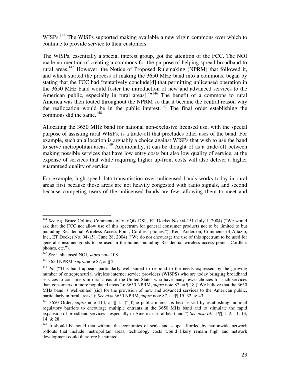WISPs.<sup>144</sup> The WISPs supported making available a new virgin commons over which to continue to provide service to their customers.

The WISPs, essentially a special interest group, got the attention of the FCC. The NOI made no mention of creating a commons for the purpose of helping spread broadband to rural areas.<sup>145</sup> However, the Notice of Proposed Rulemaking (NPRM) that followed it, and which started the process of making the 3650 MHz band into a commons, began by stating that the FCC had "tentatively conclude[d] that permitting unlicensed operation in the 3650 MHz band would foster the introduction of new and advanced services to the American public, especially in rural areas[.] $v^{146}$  The benefit of a commons to rural America was then touted throughout the NPRM so that it became the central reason why the reallocation would be in the public interest.<sup>147</sup> The final order establishing the commons did the same. 148

Allocating the 3650 MHz band for national non-exclusive licensed use, with the special purpose of assisting rural WISPs, is a trade-off that precludes other uses of the band. For example, such an allocation is arguably a choice against WISPs that wish to use the band to serve metropolitan areas.<sup>149</sup> Additionally, it can be thought of as a trade-off between making possible services that have low entry costs but also low quality of service, at the expense of services that while requiring higher up-front costs will also deliver a higher guaranteed quality of service.

For example, high-speed data transmission over unlicensed bands works today in rural areas first because those areas are not heavily congested with radio signals, and second because competing users of the unlicensed bands are few, allowing them to meet and

<sup>&</sup>lt;sup>144</sup> See e.g. Bruce Collins, Comments of VeriQik DSL, ET Docket No. 04-151 (July 1, 2004) ("We would ask that the FCC not allow use of this spectrum for general consumer products not to be limited to but including Residential Wireless Access Point, Cordless phones."); Kent Anderson, Comments of Altazip, Inc., ET Docket No. 04-151 (June 28, 2004) ("We do not encourage the use of this spectrum to be used for general consumer goods to be used in the home. Including Residential wireless access points, Cordless phones, etc.").

<sup>145</sup> *See* Unlicensed NOI, *supra* note 108.

<sup>146</sup> 3650 NPRM, *supra* note 87, at ¶ 2.

<sup>&</sup>lt;sup>147</sup> *Id.* ("This band appears particularly well suited to respond to the needs expressed by the growing number of entrepreneurial wireless internet service providers (WISPS) who are today bringing broadband services to consumers in rural areas of the United States who have many fewer choices for such services than consumers in more populated areas."); 3650 NPRM, *supra* note 87, at ¶ 18 ("We believe that the 3650 MHz band is well-suited [sic] for the provision of new and advanced services to the American public, particularly in rural areas."); *See also* 3650 NPRM, *supra* note 87, at ¶¶ 15, 32, & 43.

<sup>&</sup>lt;sup>148</sup> 3650 Order, *supra* note 114, at  $\parallel$  15 ("[T]he public interest is best served by establishing minimal regulatory barriers to encourage multiple entrants in the 3650 MHz band and to stimulate the rapid expansion of broadband services—especially in America's rural heartland.") *See also Id*. at ¶¶ 1, 2, 11, 13, 14, & 28.

<sup>&</sup>lt;sup>149</sup> It should be noted that without the economies of scale and scope afforded by nationwide network rollouts that include metropolitan areas, technology costs would likely remain high and network development could therefore be stunted.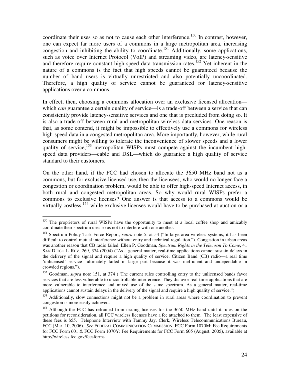coordinate their uses so as not to cause each other interference.<sup>150</sup> In contrast, however, one can expect far more users of a commons in a large metropolitan area, increasing congestion and inhibiting the ability to coordinate.<sup>151</sup> Additionally, some applications, such as voice over Internet Protocol (VoIP) and streaming video, are latency-sensitive and therefore require constant high-speed data transmission rates.<sup>152</sup> Yet inherent in the nature of a commons is the fact that high speeds cannot be guaranteed because the number of band users is virtually unrestricted and also potentially uncoordinated. Therefore, a high quality of service cannot be guaranteed for latency-sensitive applications over a commons.

In effect, then, choosing a commons allocation over an exclusive licensed allocation which *can* guarantee a certain quality of service—is a trade-off between a service that can consistently provide latency-sensitive services and one that is precluded from doing so. It is also a trade-off between rural and metropolitan wireless data services. One reason is that, as some contend, it might be impossible to effectively use a commons for wireless high-speed data in a congested metropolitan area. More importantly, however, while rural consumers might be willing to tolerate the inconvenience of slower speeds and a lower quality of service,<sup>153</sup> metropolitan WISPs must compete against the incumbent highspeed data providers—cable and DSL—which do guarantee a high quality of service standard to their customers.

On the other hand, if the FCC had chosen to allocate the 3650 MHz band not as a commons, but for exclusive licensed use, then the licensees, who would no longer face a congestion or coordination problem, would be able to offer high-speed Internet access, in both rural and congested metropolitan areas. So why would rural WISPs prefer a commons to exclusive licenses? One answer is that access to a commons would be virtually costless,<sup>154</sup> while exclusive licenses would have to be purchased at auction or a

<sup>&</sup>lt;sup>150</sup> The proprietors of rural WISPs have the opportunity to meet at a local coffee shop and amicably coordinate their spectrum uses so as not to interfere with one another.

<sup>&</sup>lt;sup>151</sup> Spectrum Policy Task Force Report, *supra* note 5, at 54 ("In large area wireless systems, it has been difficult to control mutual interference without entry and technical regulation."). Congestion in urban areas was another reason that CB radio failed. Ellen P. Goodman, *Spectrum Rights in the Telecosm To Come*, 41 SAN DIEGO L. REV. 269, 374 (2004) ("As a general matter, real-time applications cannot sustain delays in the delivery of the signal and require a high quality of service. Citizen Band (CB) radio—a real time 'unlicensed' service—ultimately failed in large part because it was inefficient and undependable in crowded regions.").

<sup>&</sup>lt;sup>152</sup> Goodman, *supra* note 151, at 374 ("The current rules controlling entry to the unlicensed bands favor services that are less vulnerable to uncontrollable interference. They disfavor real-time applications that are more vulnerable to interference and mixed use of the same spectrum. As a general matter, real-time applications cannot sustain delays in the delivery of the signal and require a high quality of service.")

<sup>&</sup>lt;sup>153</sup> Additionally, slow connections might not be a problem in rural areas where coordination to prevent congestion is more easily achieved.

<sup>&</sup>lt;sup>154</sup> Although the FCC has refrained from issuing licenses for the 3650 MHz band until it rules on the petitions for reconsideration, all FCC wireless licenses have a fee attached to them. The least expensive of these fees is \$55. Telephone Interview with Tammy Jay, Clerk, Wireless Telecommunications Bureau, FCC (Mar. 10, 2006). *See* FEDERAL COMMUNICATION COMMISSION, FCC Form 1070M: Fee Requirements for FCC Form 601 & FCC Form 1070Y: Fee Requirements for FCC Form 605 (August, 2005), available at http://wireless.fcc.gov/feesforms.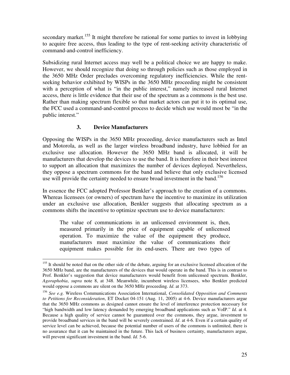secondary market.<sup>155</sup> It might therefore be rational for some parties to invest in lobbying to acquire free access, thus leading to the type of rent-seeking activity characteristic of command-and-control inefficiency.

Subsidizing rural Internet access may well be a political choice we are happy to make. However, we should recognize that doing so through policies such as those employed in the 3650 MHz Order precludes overcoming regulatory inefficiencies. While the rentseeking behavior exhibited by WISPs in the 3650 MHz proceeding might be consistent with a perception of what is "in the public interest," namely increased rural Internet access, there is little evidence that their use of the spectrum as a commons is the best use. Rather than making spectrum flexible so that market actors can put it to its optimal use, the FCC used a command-and-control process to decide which use would most be "in the public interest."

#### **3. Device Manufacturers**

Opposing the WISPs in the 3650 MHz proceeding, device manufacturers such as Intel and Motorola, as well as the larger wireless broadband industry, have lobbied for an exclusive use allocation. However the 3650 MHz band is allocated, it will be manufacturers that develop the devices to use the band. It is therefore in their best interest to support an allocation that maximizes the number of devices deployed. Nevertheless, they oppose a spectrum commons for the band and believe that only exclusive licensed use will provide the certainty needed to ensure broad investment in the band.<sup>156</sup>

In essence the FCC adopted Professor Benkler's approach to the creation of a commons. Whereas licensees (or owners) of spectrum have the incentive to maximize its utilization under an exclusive use allocation, Benkler suggests that allocating spectrum as a commons shifts the incentive to optimize spectrum use to device manufacturers:

The value of communications in an unlicensed environment is, then, measured primarily in the price of equipment capable of unlicensed operation. To maximize the value of the equipment they produce, manufacturers must maximize the value of communications their equipment makes possible for its end-users. There are two types of

<sup>&</sup>lt;sup>155</sup> It should be noted that on the other side of the debate, arguing for an exclusive licensed allocation of the 3650 MHz band, are the manufacturers of the devices that would operate in the band. This is in contrast to Prof. Benkler's suggestion that device manufacturers would benefit from unlicensed spectrum. Benkler, *Agoraphobia*, *supra* note 8, at 348. Meanwhile, incumbent wireless licensees, who Benkler predicted would oppose a commons are silent on the 3650 MHz proceeding. *Id*. at 373.

<sup>156</sup> *See e.g.* Wireless Communications Association International, *Consolidated Opposition and Comments to Petitions for Reconsideration*, ET Docket 04-151 (Aug. 11, 2005) at 4-6. Device manufacturers argue that the 3650 MHz commons as designed cannot ensure the level of interference protection necessary for "high bandwidth and low latency demanded by emerging broadband applications such as VoIP." *Id.* at 4. Because a high quality of service cannot be guaranteed over the commons, they argue, investment to provide broadband services in the band will be severely constrained. *Id*. at 4-6. Even if a certain quality of service level can be achieved, because the potential number of users of the commons is unlimited, there is no assurance that it can be maintained in the future. This lack of business certainty, manufacturers argue, will prevent significant investment in the band. *Id.* 5-6.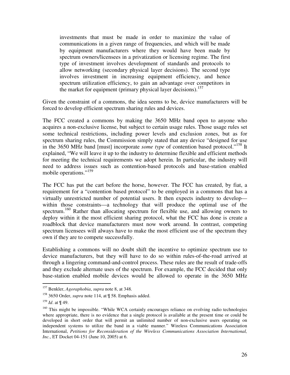investments that must be made in order to maximize the value of communications in a given range of frequencies, and which will be made by equipment manufacturers where they would have been made by spectrum owners/licensees in a privatization or licensing regime. The first type of investment involves development of standards and protocols to allow networking (secondary physical layer decisions). The second type involves investment in increasing equipment efficiency, and hence spectrum utilization efficiency, to gain an advantage over competitors in the market for equipment (primary physical layer decisions).<sup>157</sup>

Given the constraint of a commons, the idea seems to be, device manufacturers will be forced to develop efficient spectrum sharing rules and devices.

The FCC created a commons by making the 3650 MHz band open to anyone who acquires a non-exclusive license, but subject to certain usage rules. Those usage rules set some technical restrictions, including power levels and exclusion zones, but as for spectrum sharing rules, the Commission simply stated that any device "designed for use in the 3650 MHz band [must] incorporate *some type* of contention based protocol."<sup>158</sup> It explained, "We will leave it up to the industry to determine flexible and efficient methods for meeting the technical requirements we adopt herein. In particular, the industry will need to address issues such as contention-based protocols and base-station enabled mobile operations."<sup>159</sup>

The FCC has put the cart before the horse, however. The FCC has created, by fiat, a requirement for a "contention based protocol" to be employed in a commons that has a virtually unrestricted number of potential users. It then expects industry to develop within those constraints—a technology that will produce the optimal use of the spectrum.<sup>160</sup> Rather than allocating spectrum for flexible use, and allowing owners to deploy within it the most efficient sharing protocol, what the FCC has done is create a roadblock that device manufacturers must now work around. In contrast, competing spectrum licensees will always have to make the most efficient use of the spectrum they own if they are to compete successfully.

Establishing a commons will no doubt shift the incentive to optimize spectrum use to device manufacturers, but they will have to do so within rules-of-the-road arrived at through a lingering command-and-control process. These rules are the result of trade-offs and they exclude alternate uses of the spectrum. For example, the FCC decided that only base-station enabled mobile devices would be allowed to operate in the 3650 MHz

<sup>157</sup> Benkler, *Agoraphobia*, *supra* note 8, at 348.

<sup>&</sup>lt;sup>158</sup> 3650 Order, *supra* note 114, at  $\mathbb{I}$  58. Emphasis added.

<sup>159</sup> *Id*. at ¶ 49.

<sup>&</sup>lt;sup>160</sup> This might be impossible. "While WCA certainly encourages reliance on evolving radio technologies where appropriate, there is no evidence that a single protocol is available at the present time or could be developed in short order that will permit an unlimited number of non-exclusive users operating on independent systems to utilize the band in a viable manner." Wireless Communications Association International, *Petitions for Reconsideration of the Wireless Communications Association International, Inc.*, ET Docket 04-151 (June 10, 2005) at 6.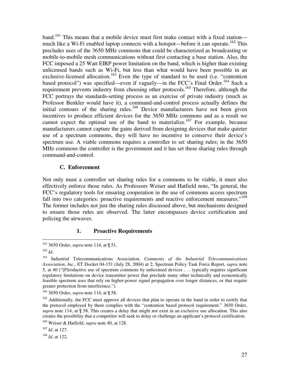band.<sup>161</sup> This means that a mobile device must first make contact with a fixed station much like a Wi-Fi enabled laptop connects with a hotspot—before it can operate.<sup>162</sup> This precludes uses of the 3650 MHz commons that could be characterized as broadcasting or mobile-to-mobile mesh communications without first contacting a base station. Also, the FCC imposed a 25 Watt EIRP power limitation on the band, which is higher than existing unlicensed bands such as Wi-Fi, but less than what would have been possible in an exclusive-licensed allocation.<sup>163</sup> Even the type of standard to be used (i.e. "contention based protocol") was specified—even if vaguely—in the FCC's Final Order.<sup>164</sup> Such a requirement prevents industry from choosing other protocols.<sup>165</sup> Therefore, although the FCC portrays the standards-setting process as an exercise of private industry (much as Professor Benkler would have it), a command-and-control process actually defines the initial contours of the sharing rules.<sup>166</sup> Device manufacturers have not been given incentives to produce efficient devices for the 3650 MHz commons and as a result we cannot expect the optimal use of the band to materialize.<sup>167</sup> For example, because manufacturers cannot capture the gains derived from designing devices that make quieter use of a spectrum commons, they will have no incentive to conserve their device's spectrum use. A viable commons requires a controller to set sharing rules; in the 3650 MHz commons the controller is the government and it has set these sharing rules through command-and-control.

#### **C. Enforcement**

Not only must a controller set sharing rules for a commons to be viable, it must also effectively enforce those rules. As Professors Weiser and Hatfield note, "In general, the FCC's regulatory tools for ensuring cooperation in the use of commons access spectrum fall into two categories: proactive requirements and reactive enforcement measures."<sup>168</sup> The former includes not just the sharing rules discussed above, but mechanisms designed to ensure those rules are observed. The latter encompasses device certification and policing the airwaves.

#### **1. Proactive Requirements**

<sup>161</sup> 3650 Order, *supra* note 114, at ¶ 51.

<sup>162</sup> *Id*.

<sup>163</sup> Industrial Telecommunications Association, *Comments of the Industrial Telecommunications Association, Inc.*, ET Docket 04-151 (July 28, 2004) at 2; Spectrum Policy Task Force Report, *supra* note 5, at 40 ("[P]roductive use of spectrum commons by unlicensed devices . . . typically requires significant regulatory limitations on device transmitter power that preclude many other technically and economically feasible spectrum uses that rely on higher-power signal propagation over longer distances, or that require greater protection from interference.").

<sup>&</sup>lt;sup>164</sup> 3650 Order, *supra* note 114, at  $\mathbb{I}$  58.

<sup>&</sup>lt;sup>165</sup> Additionally, the FCC must approve all devices that plan to operate in the band in order to certify that the protocol employed by them complies with the "contention based protocol requirement." 3650 Order, *supra* note 114, at ¶ 58. This creates a delay that might not exist in an exclusive use allocation. This also creates the possibility that a competitor will seek to delay or challenge an applicant's protocol certification.

<sup>166</sup> Weiser & Hatfield, *supra* note 40, at 128.

<sup>167</sup> *Id*. at 127.

<sup>168</sup> *Id*. at 122.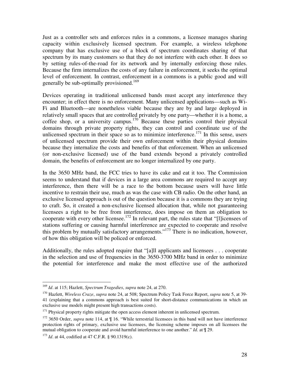Just as a controller sets and enforces rules in a commons, a licensee manages sharing capacity within exclusively licensed spectrum. For example, a wireless telephone company that has exclusive use of a block of spectrum coordinates sharing of that spectrum by its many customers so that they do not interfere with each other. It does so by setting rules-of-the-road for its network and by internally enforcing those rules. Because the firm internalizes the costs of any failure in enforcement, it seeks the optimal level of enforcement. In contrast, enforcement in a commons is a public good and will generally be sub-optimally provisioned.<sup>169</sup>

Devices operating in traditional unlicensed bands must accept any interference they encounter; in effect there is no enforcement. Many unlicensed applications—such as Wi-Fi and Bluetooth—are nonetheless viable because they are by and large deployed in relatively small spaces that are controlled privately by one party—whether it is a home, a coffee shop, or a university campus.<sup>170</sup> Because these parties control their physical domains through private property rights, they can control and coordinate use of the unlicensed spectrum in their space so as to minimize interference.<sup>171</sup> In this sense, users of unlicensed spectrum provide their own enforcement within their physical domains because they internalize the costs and benefits of that enforcement. When an unlicensed (or non-exclusive licensed) use of the band extends beyond a privately controlled domain, the benefits of enforcement are no longer internalized by one party.

In the 3650 MHz band, the FCC tries to have its cake and eat it too. The Commission seems to understand that if devices in a large area commons are required to accept any interference, then there will be a race to the bottom because users will have little incentive to restrain their use, much as was the case with CB radio. On the other hand, an exclusive licensed approach is out of the question because it is a commons they are trying to craft. So, it created a non-exclusive licensed allocation that, while not guaranteeing licensees a right to be free from interference, does impose on them an obligation to cooperate with every other licensee.<sup>172</sup> In relevant part, the rules state that "[l]icensees of stations suffering or causing harmful interference are expected to cooperate and resolve this problem by mutually satisfactory arrangements."<sup>173</sup> There is no indication, however, of how this obligation will be policed or enforced.

Additionally, the rules adopted require that "[a]ll applicants and licensees . . . cooperate in the selection and use of frequencies in the 3650-3700 MHz band in order to minimize the potential for interference and make the most effective use of the authorized

<sup>169</sup> *Id*. at 115; Hazlett, *Spectrum Tragedies*, *supra* note 24, at 270.

<sup>170</sup> Hazlett, *Wireless Craze*, *supra* note 24, at 508; Spectrum Policy Task Force Report, *supra* note 5, at 39- 41 (explaining that a commons approach is best suited for short-distance communications in which an exclusive use models might present high transactions costs).

 $171$  Physical property rights mitigate the open access element inherent in unlicensed spectrum.

<sup>&</sup>lt;sup>172</sup> 3650 Order, *supra* note 114, at  $\llbracket$  16. "While terrestrial licensees in this band will not have interference protection rights of primary, exclusive use licensees, the licensing scheme imposes on all licensees the mutual obligation to cooperate and avoid harmful interference to one another." *Id*. at ¶ 29.

<sup>&</sup>lt;sup>173</sup> *Id.* at 44, codified at 47 C.F.R. § 90.1319(c).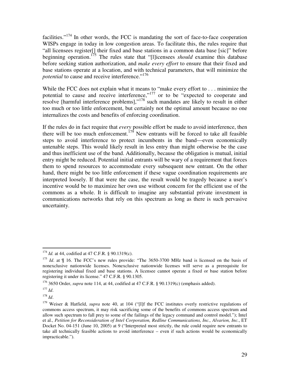facilities."<sup>174</sup> In other words, the FCC is mandating the sort of face-to-face cooperation WISPs engage in today in low congestion areas. To facilitate this, the rules require that "all licensees register[] their fixed and base stations in a common data base [sic]" before beginning operation. 175 The rules state that "[l]icensees *should* examine this database before seeking station authorization, and *make every effort* to ensure that their fixed and base stations operate at a location, and with technical parameters, that will minimize the potential to cause and receive interference."<sup>176</sup>

While the FCC does not explain what it means to "make every effort to . . . minimize the potential to cause and receive interference,"<sup>177</sup> or to be "expected to cooperate and resolve [harmful interference problems]," 178 such mandates are likely to result in either too much or too little enforcement, but certainly not the optimal amount because no one internalizes the costs and benefits of enforcing coordination.

If the rules do in fact require that *every* possible effort be made to avoid interference, then there will be too much enforcement.<sup>179</sup> New entrants will be forced to take all feasible steps to avoid interference to protect incumbents in the band—even economically untenable steps. This would likely result in less entry than might otherwise be the case and thus inefficient use of the band. Additionally, because the obligation is mutual, initial entry might be reduced. Potential initial entrants will be wary of a requirement that forces them to spend resources to accommodate every subsequent new entrant. On the other hand, there might be too little enforcement if these vague coordination requirements are interpreted loosely. If that were the case, the result would be tragedy because a user's incentive would be to maximize her own use without concern for the efficient use of the commons as a whole. It is difficult to imagine any substantial private investment in communications networks that rely on this spectrum as long as there is such pervasive uncertainty.

178 *Id*.

<sup>&</sup>lt;sup>174</sup> *Id.* at 44, codified at 47 C.F.R. § 90.1319(c).

<sup>&</sup>lt;sup>175</sup> *Id*. at ¶ 16. The FCC's new rules provide: "The 3650-3700 MHz band is licensed on the basis of nonexclusive nationwide licenses. Nonexclusive nationwide licenses will serve as a prerequisite for registering individual fixed and base stations. A licensee cannot operate a fixed or base station before registering it under its license." 47 C.F.R. § 90.1305.

<sup>&</sup>lt;sup>176</sup> 3650 Order, *supra* note 114, at 44, codified at 47 C.F.R. § 90.1319(c) (emphasis added).

<sup>177</sup> *Id*.

<sup>179</sup> Weiser & Hatfield, *supra* note 40, at 104 ("[I]f the FCC institutes overly restrictive regulations of commons access spectrum, it may risk sacrificing some of the benefits of commons access spectrum and allow such spectrum to fall prey to some of the failings of the legacy command and control model."); Intel et al., *Petition for Reconsideration of Intel Corporation, Redline Communications, Inc., Alvarion, Inc.*, ET Docket No. 04-151 (June 10, 2005) at 9 ("Interpreted most strictly, the rule could require new entrants to take all technically feasible actions to avoid interference – even if such actions would be economically impracticable.").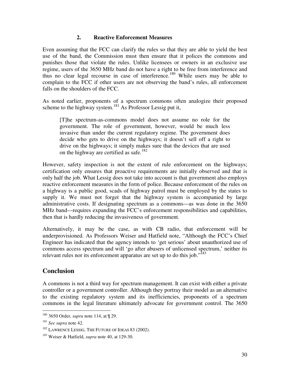#### **2. Reactive Enforcement Measures**

Even assuming that the FCC can clarify the rules so that they are able to yield the best use of the band, the Commission must then ensure that it polices the commons and punishes those that violate the rules. Unlike licensees or owners in an exclusive use regime, users of the 3650 MHz band do not have a right to be free from interference and thus no clear legal recourse in case of interference.<sup>180</sup> While users may be able to complain to the FCC if other users are not observing the band's rules, all enforcement falls on the shoulders of the FCC.

As noted earlier, proponents of a spectrum commons often analogize their proposed scheme to the highway system.<sup>181</sup> As Professor Lessig put it,

[T]he spectrum-as-commons model does not assume no role for the government. The role of government, however, would be much less invasive than under the current regulatory regime. The government does decide who gets to drive on the highways; it doesn't sell off a right to drive on the highways; it simply makes sure that the devices that are used on the highway are certified as safe. 182

However, safety inspection is not the extent of rule enforcement on the highways; certification only ensures that proactive requirements are initially observed and that is only half the job. What Lessig does not take into account is that government also employs reactive enforcement measures in the form of police. Because enforcement of the rules on a highway is a public good, scads of highway patrol must be employed by the states to supply it. We must not forget that the highway system is accompanied by large administrative costs. If designating spectrum as a commons—as was done in the 3650 MHz band—requires expanding the FCC's enforcement responsibilities and capabilities, then that is hardly reducing the invasiveness of government.

Alternatively, it may be the case, as with CB radio, that enforcement will be underprovisioned. As Professors Weiser and Hatfield note, "Although the FCC's Chief Engineer has indicated that the agency intends to 'get serious' about unauthorized use of commons access spectrum and will 'go after abusers of unlicensed spectrum,' neither its relevant rules nor its enforcement apparatus are set up to do this job."<sup>183</sup>

## **Conclusion**

A commons is not a third way for spectrum management. It can exist with either a private controller or a government controller. Although they portray their model as an alternative to the existing regulatory system and its inefficiencies, proponents of a spectrum commons in the legal literature ultimately advocate for government control. The 3650

<sup>180</sup> 3650 Order, *supra* note 114, at ¶ 29.

<sup>181</sup> *See supra* note 42.

<sup>&</sup>lt;sup>182</sup> LAWRENCE LESSIG. THE FUTURE OF IDEAS 83 (2002).

<sup>183</sup> Weiser & Hatfield, *supra* note 40, at 129-30.